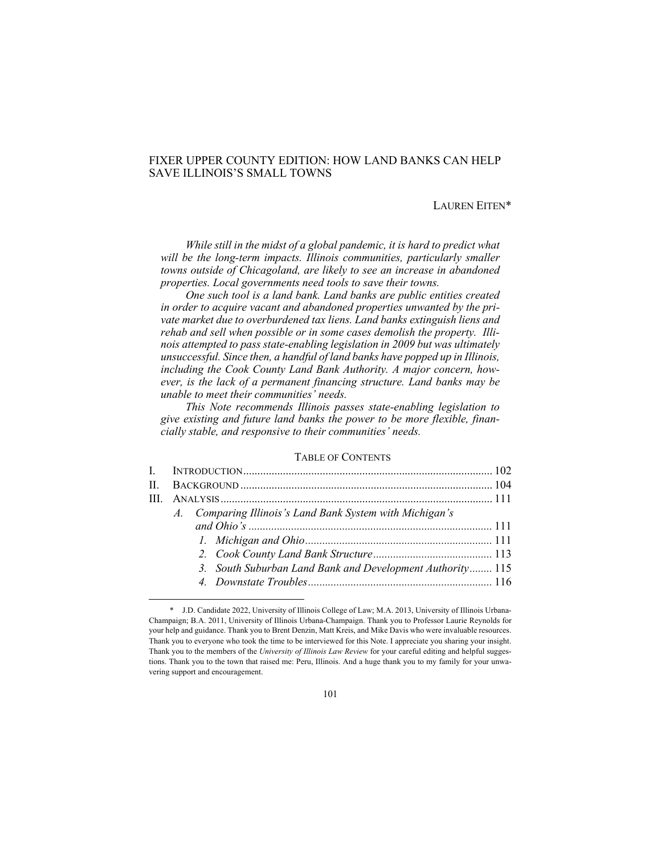# FIXER UPPER COUNTY EDITION: HOW LAND BANKS CAN HELP SAVE ILLINOIS'S SMALL TOWNS

## LAUREN EITEN\*

While still in the midst of a global pandemic, it is hard to predict what will be the long-term impacts. Illinois communities, particularly smaller *towns outside of Chicagoland, are likely to see an increase in abandoned properties. Local governments need tools to save their towns.* 

*One such tool is a land bank. Land banks are public entities created in order to acquire vacant and abandoned properties unwanted by the private market due to overburdened tax liens. Land banks extinguish liens and rehab and sell when possible or in some cases demolish the property. Illinois attempted to pass state-enabling legislation in 2009 but was ultimately unsuccessful. Since then, a handful of land banks have popped up in Illinois, including the Cook County Land Bank Authority. A major concern, however, is the lack of a permanent financing structure. Land banks may be unable to meet their communities' needs.* 

*This Note recommends Illinois passes state-enabling legislation to give existing and future land banks the power to be more flexible, financially stable, and responsive to their communities' needs.*

## TABLE OF CONTENTS

| A. Comparing Illinois's Land Bank System with Michigan's  |  |  |
|-----------------------------------------------------------|--|--|
|                                                           |  |  |
|                                                           |  |  |
|                                                           |  |  |
| 3. South Suburban Land Bank and Development Authority 115 |  |  |
|                                                           |  |  |
|                                                           |  |  |

<sup>\*</sup> J.D. Candidate 2022, University of Illinois College of Law; M.A. 2013, University of Illinois Urbana-Champaign; B.A. 2011, University of Illinois Urbana-Champaign. Thank you to Professor Laurie Reynolds for your help and guidance. Thank you to Brent Denzin, Matt Kreis, and Mike Davis who were invaluable resources. Thank you to everyone who took the time to be interviewed for this Note. I appreciate you sharing your insight. Thank you to the members of the *University of Illinois Law Review* for your careful editing and helpful suggestions. Thank you to the town that raised me: Peru, Illinois. And a huge thank you to my family for your unwavering support and encouragement.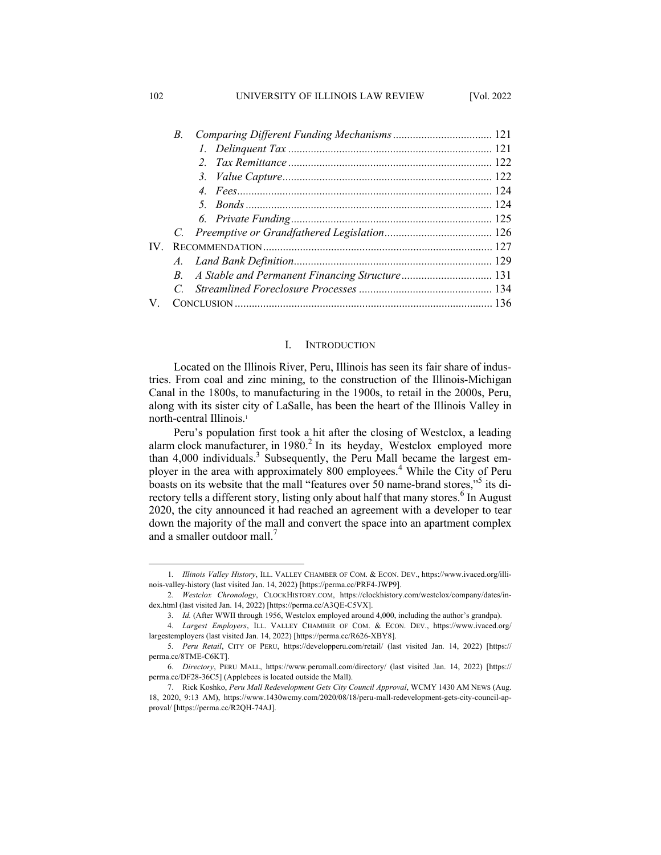### 102 UNIVERSITY OF ILLINOIS LAW REVIEW [Vol. 2022

|      | $B_{\cdot}$ |  |
|------|-------------|--|
|      |             |  |
|      |             |  |
|      |             |  |
|      |             |  |
|      |             |  |
|      |             |  |
|      |             |  |
| IV - |             |  |
|      |             |  |
|      | $B_{\cdot}$ |  |
|      |             |  |
|      |             |  |
|      |             |  |

## I. INTRODUCTION

Located on the Illinois River, Peru, Illinois has seen its fair share of industries. From coal and zinc mining, to the construction of the Illinois-Michigan Canal in the 1800s, to manufacturing in the 1900s, to retail in the 2000s, Peru, along with its sister city of LaSalle, has been the heart of the Illinois Valley in north-central Illinois.<sup>1</sup>

Peru's population first took a hit after the closing of Westclox, a leading alarm clock manufacturer, in 1980. <sup>2</sup> In its heyday, Westclox employed more than 4,000 individuals.<sup>3</sup> Subsequently, the Peru Mall became the largest employer in the area with approximately 800 employees.<sup>4</sup> While the City of Peru boasts on its website that the mall "features over 50 name-brand stores,"5 its directory tells a different story, listing only about half that many stores.<sup>6</sup> In August 2020, the city announced it had reached an agreement with a developer to tear down the majority of the mall and convert the space into an apartment complex and a smaller outdoor mall.<sup>7</sup>

<sup>1</sup>*. Illinois Valley History*, ILL. VALLEY CHAMBER OF COM. & ECON. DEV., https://www.ivaced.org/illinois-valley-history (last visited Jan. 14, 2022) [https://perma.cc/PRF4-JWP9].

<sup>2</sup>*. Westclox Chronology*, CLOCKHISTORY.COM, https://clockhistory.com/westclox/company/dates/index.html (last visited Jan. 14, 2022) [https://perma.cc/A3QE-C5VX].

<sup>3</sup>*. Id.* (After WWII through 1956, Westclox employed around 4,000, including the author's grandpa).

<sup>4</sup>*. Largest Employers*, ILL. VALLEY CHAMBER OF COM. & ECON. DEV., https://www.ivaced.org/ largestemployers (last visited Jan. 14, 2022) [https://perma.cc/R626-XBY8].

<sup>5</sup>*. Peru Retail*, CITY OF PERU, https://developperu.com/retail/ (last visited Jan. 14, 2022) [https:// perma.cc/8TME-C6KT].

<sup>6</sup>*. Directory*, PERU MALL, https://www.perumall.com/directory/ (last visited Jan. 14, 2022) [https:// perma.cc/DF28-36C5] (Applebees is located outside the Mall).

<sup>7.</sup> Rick Koshko, *Peru Mall Redevelopment Gets City Council Approval*, WCMY 1430 AM NEWS (Aug. 18, 2020, 9:13 AM), https://www.1430wcmy.com/2020/08/18/peru-mall-redevelopment-gets-city-council-approval/ [https://perma.cc/R2QH-74AJ].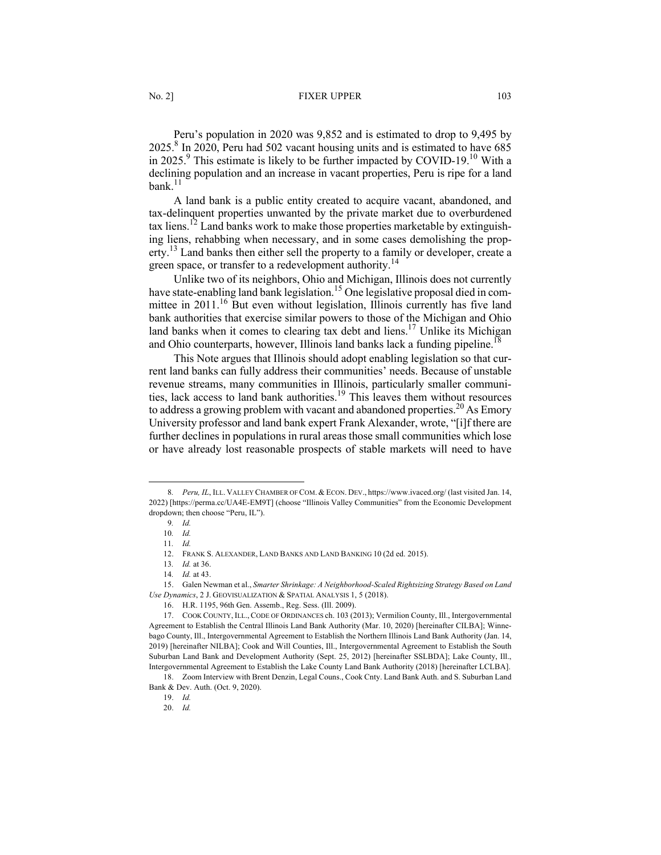### No. 2] **FIXER UPPER** 103

Peru's population in 2020 was 9,852 and is estimated to drop to 9,495 by 2025.8 In 2020, Peru had 502 vacant housing units and is estimated to have 685 in 2025.<sup>9</sup> This estimate is likely to be further impacted by COVID-19.<sup>10</sup> With a declining population and an increase in vacant properties, Peru is ripe for a land bank. $11$ 

A land bank is a public entity created to acquire vacant, abandoned, and tax-delinquent properties unwanted by the private market due to overburdened tax liens.<sup>12</sup> Land banks work to make those properties marketable by extinguishing liens, rehabbing when necessary, and in some cases demolishing the property.<sup>13</sup> Land banks then either sell the property to a family or developer, create a green space, or transfer to a redevelopment authority.<sup>14</sup>

Unlike two of its neighbors, Ohio and Michigan, Illinois does not currently have state-enabling land bank legislation.<sup>15</sup> One legislative proposal died in committee in 2011.<sup>16</sup> But even without legislation, Illinois currently has five land bank authorities that exercise similar powers to those of the Michigan and Ohio land banks when it comes to clearing tax debt and liens.<sup>17</sup> Unlike its Michigan and Ohio counterparts, however, Illinois land banks lack a funding pipeline.<sup>18</sup>

This Note argues that Illinois should adopt enabling legislation so that current land banks can fully address their communities' needs. Because of unstable revenue streams, many communities in Illinois, particularly smaller communities, lack access to land bank authorities.19 This leaves them without resources to address a growing problem with vacant and abandoned properties.<sup>20</sup> As Emory University professor and land bank expert Frank Alexander, wrote, "[i]f there are further declines in populations in rural areas those small communities which lose or have already lost reasonable prospects of stable markets will need to have

<sup>8</sup>*. Peru, IL*, ILL. VALLEY CHAMBER OF COM. & ECON. DEV., https://www.ivaced.org/ (last visited Jan. 14, 2022) [https://perma.cc/UA4E-EM9T] (choose "Illinois Valley Communities" from the Economic Development dropdown; then choose "Peru, IL").

<sup>9</sup>*. Id.*

<sup>10</sup>*. Id.*

<sup>11</sup>*. Id.*

<sup>12.</sup> FRANK S. ALEXANDER, LAND BANKS AND LAND BANKING 10 (2d ed. 2015).

<sup>13</sup>*. Id.* at 36.

<sup>14</sup>*. Id.* at 43.

<sup>15.</sup> Galen Newman et al., *Smarter Shrinkage: A Neighborhood-Scaled Rightsizing Strategy Based on Land Use Dynamics*, 2 J. GEOVISUALIZATION & SPATIAL ANALYSIS 1, 5 (2018).

<sup>16.</sup> H.R. 1195, 96th Gen. Assemb., Reg. Sess. (Ill. 2009).

<sup>17.</sup> COOK COUNTY, ILL., CODE OF ORDINANCES ch. 103 (2013); Vermilion County, Ill., Intergovernmental Agreement to Establish the Central Illinois Land Bank Authority (Mar. 10, 2020) [hereinafter CILBA]; Winnebago County, Ill., Intergovernmental Agreement to Establish the Northern Illinois Land Bank Authority (Jan. 14, 2019) [hereinafter NILBA]; Cook and Will Counties, Ill., Intergovernmental Agreement to Establish the South Suburban Land Bank and Development Authority (Sept. 25, 2012) [hereinafter SSLBDA]; Lake County, Ill., Intergovernmental Agreement to Establish the Lake County Land Bank Authority (2018) [hereinafter LCLBA].

<sup>18.</sup> Zoom Interview with Brent Denzin, Legal Couns., Cook Cnty. Land Bank Auth. and S. Suburban Land Bank & Dev. Auth. (Oct. 9, 2020).

<sup>19.</sup> *Id.*

<sup>20.</sup> *Id.*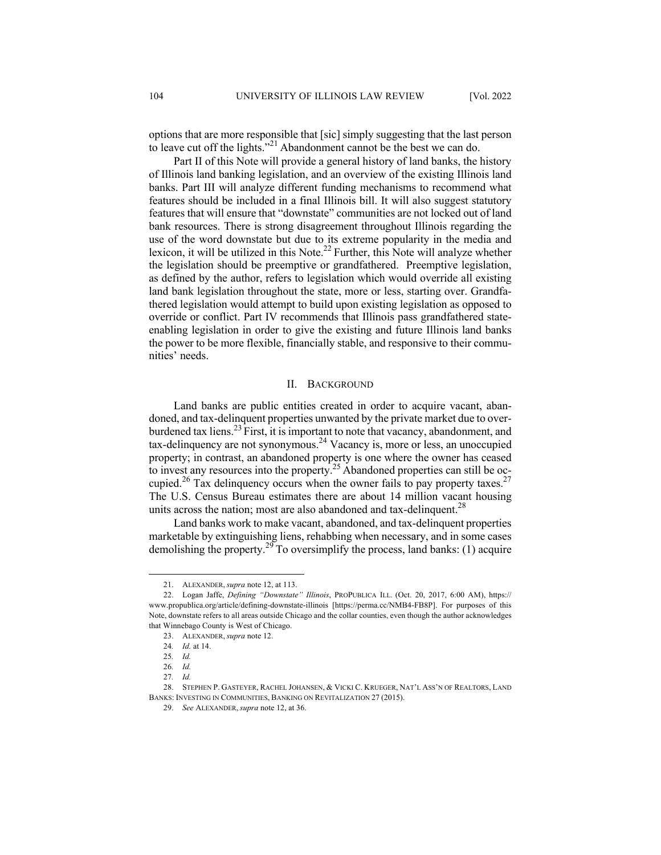options that are more responsible that [sic] simply suggesting that the last person to leave cut off the lights."<sup>21</sup> Abandonment cannot be the best we can do.

Part II of this Note will provide a general history of land banks, the history of Illinois land banking legislation, and an overview of the existing Illinois land banks. Part III will analyze different funding mechanisms to recommend what features should be included in a final Illinois bill. It will also suggest statutory features that will ensure that "downstate" communities are not locked out of land bank resources. There is strong disagreement throughout Illinois regarding the use of the word downstate but due to its extreme popularity in the media and lexicon, it will be utilized in this Note.<sup>22</sup> Further, this Note will analyze whether the legislation should be preemptive or grandfathered. Preemptive legislation, as defined by the author, refers to legislation which would override all existing land bank legislation throughout the state, more or less, starting over. Grandfathered legislation would attempt to build upon existing legislation as opposed to override or conflict. Part IV recommends that Illinois pass grandfathered stateenabling legislation in order to give the existing and future Illinois land banks the power to be more flexible, financially stable, and responsive to their communities' needs.

#### II. BACKGROUND

Land banks are public entities created in order to acquire vacant, abandoned, and tax-delinquent properties unwanted by the private market due to overburdened tax liens.<sup>23</sup> First, it is important to note that vacancy, abandonment, and tax-delinquency are not synonymous.24 Vacancy is, more or less, an unoccupied property; in contrast, an abandoned property is one where the owner has ceased to invest any resources into the property.<sup>25</sup> Abandoned properties can still be occupied.<sup>26</sup> Tax delinquency occurs when the owner fails to pay property taxes.<sup>27</sup> The U.S. Census Bureau estimates there are about 14 million vacant housing units across the nation; most are also abandoned and tax-delinquent.<sup>28</sup>

Land banks work to make vacant, abandoned, and tax-delinquent properties marketable by extinguishing liens, rehabbing when necessary, and in some cases demolishing the property.<sup>29</sup> To oversimplify the process, land banks: (1) acquire

<sup>21.</sup> ALEXANDER, *supra* note 12, at 113.

<sup>22.</sup> Logan Jaffe, *Defining "Downstate" Illinois*, PROPUBLICA ILL. (Oct. 20, 2017, 6:00 AM), https:// www.propublica.org/article/defining-downstate-illinois [https://perma.cc/NMB4-FB8P]. For purposes of this Note, downstate refers to all areas outside Chicago and the collar counties, even though the author acknowledges that Winnebago County is West of Chicago.

<sup>23.</sup> ALEXANDER, *supra* note 12.

<sup>24</sup>*. Id.* at 14.

<sup>25</sup>*. Id.*

<sup>26</sup>*. Id.*

<sup>27</sup>*. Id.*

<sup>28.</sup> STEPHEN P. GASTEYER, RACHEL JOHANSEN, & VICKI C. KRUEGER, NAT'L ASS'N OF REALTORS, LAND BANKS: INVESTING IN COMMUNITIES, BANKING ON REVITALIZATION 27 (2015).

<sup>29.</sup> *See* ALEXANDER, *supra* note 12, at 36.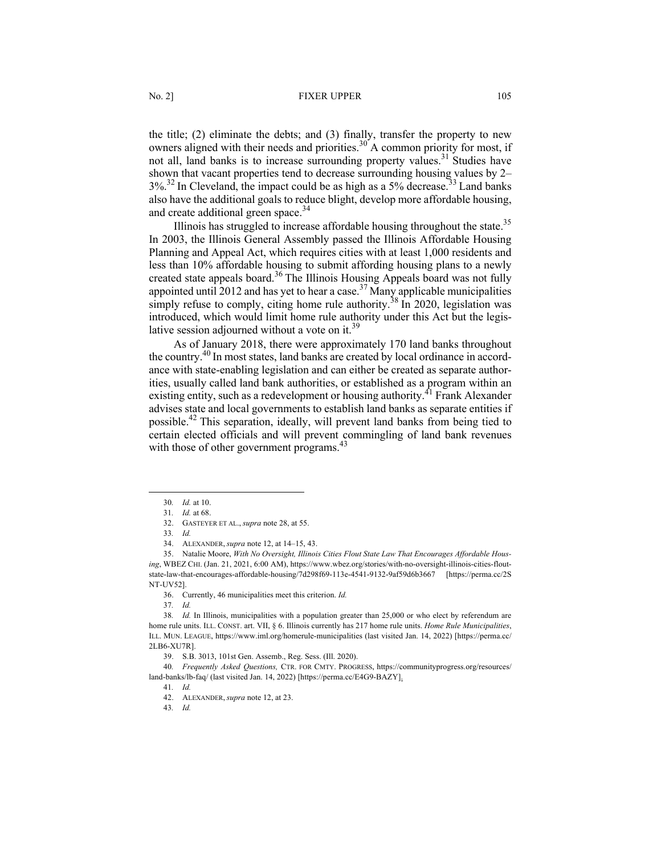the title; (2) eliminate the debts; and (3) finally, transfer the property to new owners aligned with their needs and priorities.<sup>30</sup> A common priority for most, if not all, land banks is to increase surrounding property values.<sup>31</sup> Studies have shown that vacant properties tend to decrease surrounding housing values by 2–  $3\%$ <sup>32</sup> In Cleveland, the impact could be as high as a 5% decrease.<sup>33</sup> Land banks also have the additional goals to reduce blight, develop more affordable housing, and create additional green space.<sup>34</sup>

Illinois has struggled to increase affordable housing throughout the state.<sup>35</sup> In 2003, the Illinois General Assembly passed the Illinois Affordable Housing Planning and Appeal Act, which requires cities with at least 1,000 residents and less than 10% affordable housing to submit affording housing plans to a newly created state appeals board.<sup>36</sup> The Illinois Housing Appeals board was not fully appointed until 2012 and has yet to hear a case.<sup>37</sup> Many applicable municipalities simply refuse to comply, citing home rule authority.<sup>38</sup> In 2020, legislation was introduced, which would limit home rule authority under this Act but the legislative session adjourned without a vote on it.<sup>39</sup>

As of January 2018, there were approximately 170 land banks throughout the country.40 In most states, land banks are created by local ordinance in accordance with state-enabling legislation and can either be created as separate authorities, usually called land bank authorities, or established as a program within an existing entity, such as a redevelopment or housing authority.<sup>41</sup> Frank Alexander advises state and local governments to establish land banks as separate entities if possible.42 This separation, ideally, will prevent land banks from being tied to certain elected officials and will prevent commingling of land bank revenues with those of other government programs.  $43$ 

36. Currently, 46 municipalities meet this criterion. *Id.*

37*. Id.*

39. S.B. 3013, 101st Gen. Assemb., Reg. Sess. (Ill. 2020).

40*. Frequently Asked Questions,* CTR. FOR CMTY. PROGRESS, https://communityprogress.org/resources/ land-banks/lb-faq/ (last visited Jan. 14, 2022) [https://perma.cc/E4G9-BAZY].

41*. Id.* 

43*. Id.*

<sup>30</sup>*. Id.* at 10.

<sup>31</sup>*. Id.* at 68.

<sup>32.</sup> GASTEYER ET AL., *supra* note 28, at 55.

<sup>33</sup>*. Id.*

<sup>34.</sup> ALEXANDER, *supra* note 12, at 14–15, 43.

<sup>35.</sup> Natalie Moore, *With No Oversight, Illinois Cities Flout State Law That Encourages Affordable Housing*, WBEZ CHI. (Jan. 21, 2021, 6:00 AM), https://www.wbez.org/stories/with-no-oversight-illinois-cities-floutstate-law-that-encourages-affordable-housing/7d298f69-113e-4541-9132-9af59d6b3667 [https://perma.cc/2S NT-UV52].

<sup>38</sup>*. Id.* In Illinois, municipalities with a population greater than 25,000 or who elect by referendum are home rule units. ILL. CONST. art. VII, § 6. Illinois currently has 217 home rule units. *Home Rule Municipalities*, ILL. MUN. LEAGUE, https://www.iml.org/homerule-municipalities (last visited Jan. 14, 2022) [https://perma.cc/ 2LB6-XU7R].

<sup>42.</sup> ALEXANDER, *supra* note 12, at 23.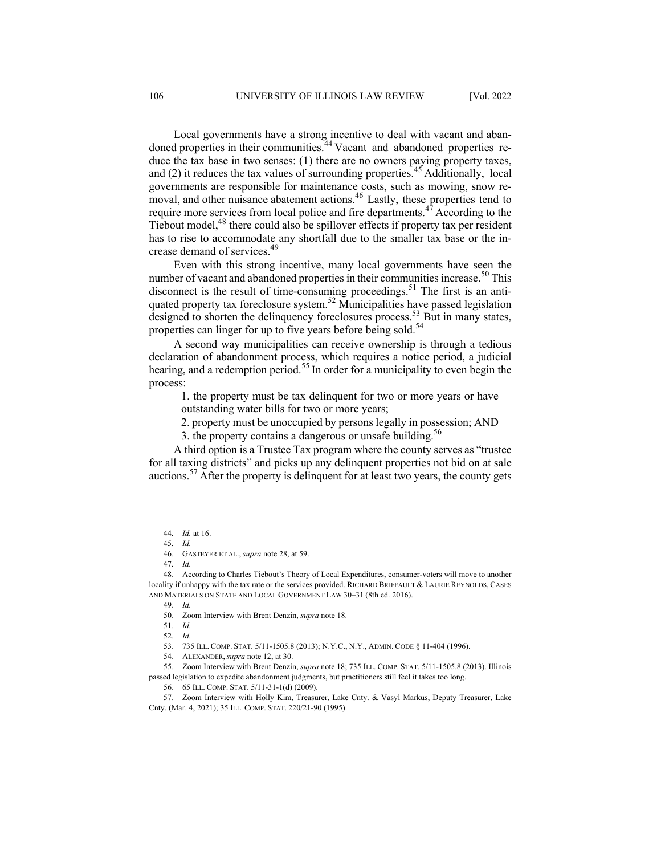Local governments have a strong incentive to deal with vacant and abandoned properties in their communities.<sup>44</sup> Vacant and abandoned properties reduce the tax base in two senses: (1) there are no owners paying property taxes, and  $(2)$  it reduces the tax values of surrounding properties.<sup>45</sup> Additionally, local governments are responsible for maintenance costs, such as mowing, snow removal, and other nuisance abatement actions.<sup>46</sup> Lastly, these properties tend to require more services from local police and fire departments.<sup>47</sup> According to the Tiebout model,<sup>48</sup> there could also be spillover effects if property tax per resident has to rise to accommodate any shortfall due to the smaller tax base or the increase demand of services.<sup>49</sup>

Even with this strong incentive, many local governments have seen the number of vacant and abandoned properties in their communities increase.<sup>50</sup> This disconnect is the result of time-consuming proceedings.<sup>51</sup> The first is an antiquated property tax foreclosure system.<sup>52</sup> Municipalities have passed legislation designed to shorten the delinquency foreclosures process.<sup>53</sup> But in many states, properties can linger for up to five years before being sold.<sup>54</sup>

A second way municipalities can receive ownership is through a tedious declaration of abandonment process, which requires a notice period, a judicial hearing, and a redemption period.<sup>55</sup> In order for a municipality to even begin the process:

1. the property must be tax delinquent for two or more years or have outstanding water bills for two or more years;

2. property must be unoccupied by persons legally in possession; AND

3. the property contains a dangerous or unsafe building.<sup>56</sup>

A third option is a Trustee Tax program where the county serves as "trustee for all taxing districts" and picks up any delinquent properties not bid on at sale auctions.<sup>57</sup> After the property is delinquent for at least two years, the county gets

<sup>44</sup>*. Id.* at 16.

<sup>45</sup>*. Id.*

<sup>46.</sup> GASTEYER ET AL., *supra* note 28, at 59.

<sup>47</sup>*. Id.*

<sup>48.</sup> According to Charles Tiebout's Theory of Local Expenditures, consumer-voters will move to another locality if unhappy with the tax rate or the services provided. RICHARD BRIFFAULT & LAURIE REYNOLDS, CASES AND MATERIALS ON STATE AND LOCAL GOVERNMENT LAW 30–31 (8th ed. 2016).

<sup>49.</sup> *Id.*

<sup>50.</sup> Zoom Interview with Brent Denzin, *supra* note 18.

<sup>51.</sup> *Id.*

<sup>52.</sup> *Id.*

<sup>53.</sup> 735 ILL. COMP. STAT. 5/11-1505.8 (2013); N.Y.C., N.Y., ADMIN. CODE § 11-404 (1996).

<sup>54.</sup> ALEXANDER, *supra* note 12, at 30.

<sup>55.</sup> Zoom Interview with Brent Denzin, *supra* note 18; 735 ILL. COMP. STAT. 5/11-1505.8 (2013). Illinois passed legislation to expedite abandonment judgments, but practitioners still feel it takes too long.

<sup>56.</sup> 65 ILL. COMP. STAT. 5/11-31-1(d) (2009).

<sup>57.</sup> Zoom Interview with Holly Kim, Treasurer, Lake Cnty. & Vasyl Markus, Deputy Treasurer, Lake Cnty. (Mar. 4, 2021); 35 ILL. COMP. STAT. 220/21-90 (1995).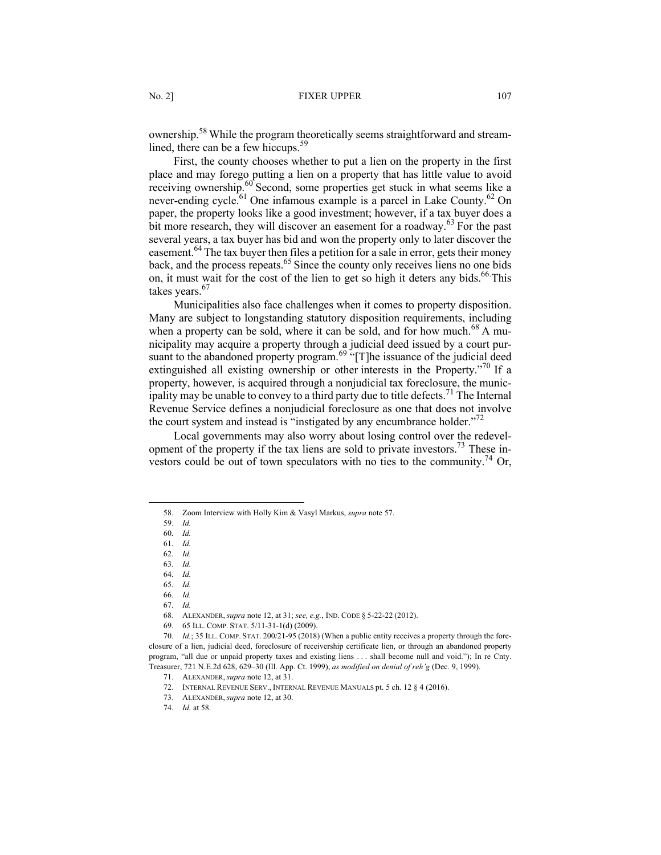ownership.58 While the program theoretically seems straightforward and streamlined, there can be a few hiccups.<sup>59</sup>

First, the county chooses whether to put a lien on the property in the first place and may forego putting a lien on a property that has little value to avoid receiving ownership.<sup>60</sup> Second, some properties get stuck in what seems like a never-ending cycle.<sup>61</sup> One infamous example is a parcel in Lake County.<sup>62</sup> On paper, the property looks like a good investment; however, if a tax buyer does a bit more research, they will discover an easement for a roadway.<sup>63</sup> For the past several years, a tax buyer has bid and won the property only to later discover the easement.<sup>64</sup> The tax buyer then files a petition for a sale in error, gets their money back, and the process repeats.<sup>65</sup> Since the county only receives liens no one bids on, it must wait for the cost of the lien to get so high it deters any bids.<sup>66</sup> This takes years.<sup>67</sup>

Municipalities also face challenges when it comes to property disposition. Many are subject to longstanding statutory disposition requirements, including when a property can be sold, where it can be sold, and for how much.<sup>68</sup> A municipality may acquire a property through a judicial deed issued by a court pursuant to the abandoned property program.<sup>69</sup> "[T]he issuance of the judicial deed extinguished all existing ownership or other interests in the Property."<sup>70</sup> If a property, however, is acquired through a nonjudicial tax foreclosure, the municipality may be unable to convey to a third party due to title defects.<sup>71</sup> The Internal Revenue Service defines a nonjudicial foreclosure as one that does not involve the court system and instead is "instigated by any encumbrance holder."<sup>72</sup>

Local governments may also worry about losing control over the redevelopment of the property if the tax liens are sold to private investors.<sup>73</sup> These investors could be out of town speculators with no ties to the community.<sup>74</sup> Or,

67*. Id.*

68. ALEXANDER, *supra* note 12, at 31; *see, e.g.*, IND. CODE § 5-22-22 (2012).

69. 65 ILL. COMP. STAT. 5/11-31-1(d) (2009).

71. ALEXANDER, *supra* note 12, at 31.

73. ALEXANDER, *supra* note 12, at 30.

<sup>58.</sup> Zoom Interview with Holly Kim & Vasyl Markus, *supra* note 57.

<sup>59.</sup> *Id.*

<sup>60</sup>*. Id.*

<sup>61</sup>*. Id.* 62*. Id.*

<sup>63</sup>*. Id.*

<sup>64</sup>*. Id.*

<sup>65</sup>*. Id.*

<sup>66</sup>*. Id.*

<sup>70</sup>*. Id.*; 35 ILL. COMP. STAT. 200/21-95 (2018) (When a public entity receives a property through the foreclosure of a lien, judicial deed, foreclosure of receivership certificate lien, or through an abandoned property program, "all due or unpaid property taxes and existing liens . . . shall become null and void."); In re Cnty. Treasurer, 721 N.E.2d 628, 629–30 (Ill. App. Ct. 1999), *as modified on denial of reh'g* (Dec. 9, 1999).

<sup>72.</sup> INTERNAL REVENUE SERV., INTERNAL REVENUE MANUALS pt. 5 ch. 12 § 4 (2016).

<sup>74.</sup> *Id.* at 58.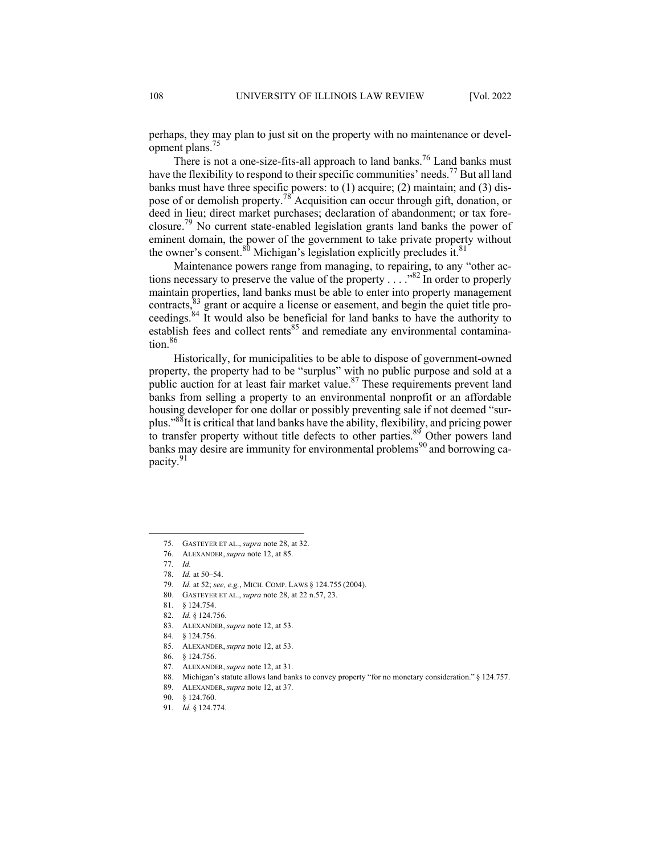perhaps, they may plan to just sit on the property with no maintenance or development plans.75

There is not a one-size-fits-all approach to land banks.<sup>76</sup> Land banks must have the flexibility to respond to their specific communities' needs.<sup>77</sup> But all land banks must have three specific powers: to (1) acquire; (2) maintain; and (3) dispose of or demolish property.<sup>78</sup> Acquisition can occur through gift, donation, or deed in lieu; direct market purchases; declaration of abandonment; or tax foreclosure.79 No current state-enabled legislation grants land banks the power of eminent domain, the power of the government to take private property without the owner's consent.<sup>80</sup> Michigan's legislation explicitly precludes it.<sup>81</sup>

Maintenance powers range from managing, to repairing, to any "other actions necessary to preserve the value of the property  $\ldots$  ... <sup>82</sup> In order to properly maintain properties, land banks must be able to enter into property management contracts,<sup>83</sup> grant or acquire a license or easement, and begin the quiet title proceedings.<sup>84</sup> It would also be beneficial for land banks to have the authority to establish fees and collect rents<sup>85</sup> and remediate any environmental contamination.<sup>86</sup>

Historically, for municipalities to be able to dispose of government-owned property, the property had to be "surplus" with no public purpose and sold at a public auction for at least fair market value.<sup>87</sup> These requirements prevent land banks from selling a property to an environmental nonprofit or an affordable housing developer for one dollar or possibly preventing sale if not deemed "surplus."88It is critical that land banks have the ability, flexibility, and pricing power to transfer property without title defects to other parties. $89$  Other powers land banks may desire are immunity for environmental problems<sup>90</sup> and borrowing capacity.<sup>91</sup>

- 83. ALEXANDER, *supra* note 12, at 53.
- 84. § 124.756.
- 85. ALEXANDER, *supra* note 12, at 53.
- 86. § 124.756.
- 87. ALEXANDER, *supra* note 12, at 31.
- 88. Michigan's statute allows land banks to convey property "for no monetary consideration." § 124.757.
- 89. ALEXANDER, *supra* note 12, at 37.

<sup>75.</sup> GASTEYER ET AL., *supra* note 28, at 32.

<sup>76.</sup> ALEXANDER, *supra* note 12, at 85.

<sup>77</sup>*. Id.*

<sup>78</sup>*. Id.* at 50–54.

<sup>79</sup>*. Id.* at 52; *see, e.g.*, MICH. COMP. LAWS § 124.755 (2004).

<sup>80.</sup> GASTEYER ET AL., *supra* note 28, at 22 n.57, 23.

<sup>81.</sup> § 124.754.

<sup>82</sup>*. Id.* § 124.756.

<sup>90</sup>*.* § 124.760.

<sup>91</sup>*. Id.* § 124.774.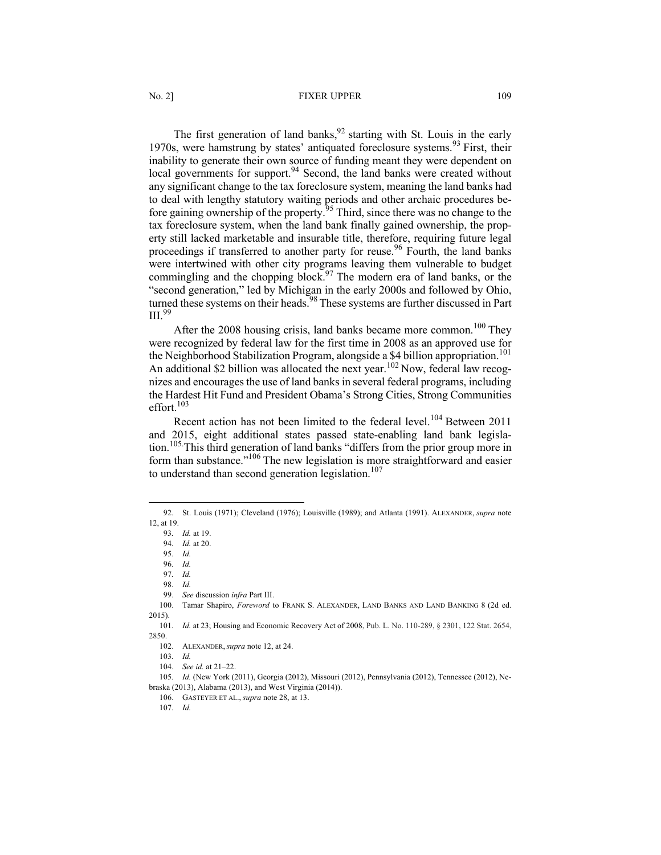### No. 2] **FIXER UPPER** 109

The first generation of land banks,  $92$  starting with St. Louis in the early 1970s, were hamstrung by states' antiquated foreclosure systems.<sup>93</sup> First, their inability to generate their own source of funding meant they were dependent on local governments for support.<sup>94</sup> Second, the land banks were created without any significant change to the tax foreclosure system, meaning the land banks had to deal with lengthy statutory waiting periods and other archaic procedures before gaining ownership of the property.<sup>95</sup> Third, since there was no change to the tax foreclosure system, when the land bank finally gained ownership, the property still lacked marketable and insurable title, therefore, requiring future legal proceedings if transferred to another party for reuse.<sup>96</sup> Fourth, the land banks were intertwined with other city programs leaving them vulnerable to budget commingling and the chopping block.<sup>97</sup> The modern era of land banks, or the "second generation," led by Michigan in the early 2000s and followed by Ohio, turned these systems on their heads.<sup>98</sup> These systems are further discussed in Part III.<sup>99</sup>

After the 2008 housing crisis, land banks became more common.<sup>100</sup> They were recognized by federal law for the first time in 2008 as an approved use for the Neighborhood Stabilization Program, alongside a \$4 billion appropriation.<sup>101</sup> An additional \$2 billion was allocated the next year.<sup>102</sup> Now, federal law recognizes and encourages the use of land banks in several federal programs, including the Hardest Hit Fund and President Obama's Strong Cities, Strong Communities effort. $103$ 

Recent action has not been limited to the federal level.<sup>104</sup> Between 2011 and 2015, eight additional states passed state-enabling land bank legislation.105. This third generation of land banks "differs from the prior group more in form than substance."<sup>106</sup> The new legislation is more straightforward and easier to understand than second generation legislation.<sup>107</sup>

<sup>92.</sup> St. Louis (1971); Cleveland (1976); Louisville (1989); and Atlanta (1991). ALEXANDER, *supra* note 12, at 19.

<sup>93</sup>*. Id.* at 19.

<sup>94</sup>*. Id.* at 20.

<sup>95</sup>*. Id.*

<sup>96</sup>*. Id.*

<sup>97</sup>*. Id.*

<sup>98</sup>*. Id.*

<sup>99.</sup> *See* discussion *infra* Part III.

<sup>100.</sup> Tamar Shapiro, *Foreword* to FRANK S. ALEXANDER, LAND BANKS AND LAND BANKING 8 (2d ed. 2015).

<sup>101</sup>*. Id.* at 23; Housing and Economic Recovery Act of 2008, Pub. L. No. 110-289, § 2301, 122 Stat. 2654, 2850.

<sup>102.</sup> ALEXANDER, *supra* note 12, at 24.

<sup>103</sup>*. Id.*

<sup>104.</sup> *See id.* at 21–22.

<sup>105</sup>*. Id.* (New York (2011), Georgia (2012), Missouri (2012), Pennsylvania (2012), Tennessee (2012), Nebraska (2013), Alabama (2013), and West Virginia (2014)).

<sup>106.</sup> GASTEYER ET AL., *supra* note 28, at 13.

<sup>107</sup>*. Id.*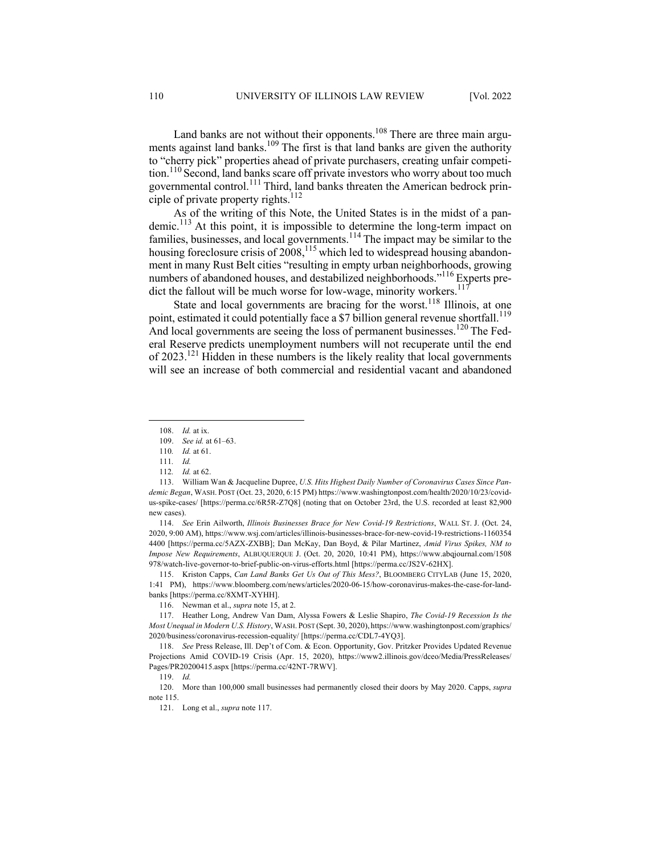Land banks are not without their opponents.<sup>108</sup> There are three main arguments against land banks.<sup>109</sup> The first is that land banks are given the authority to "cherry pick" properties ahead of private purchasers, creating unfair competition.<sup>110</sup> Second, land banks scare off private investors who worry about too much governmental control.<sup>111</sup> Third, land banks threaten the American bedrock principle of private property rights.<sup>112</sup>

As of the writing of this Note, the United States is in the midst of a pandemic.<sup>113</sup> At this point, it is impossible to determine the long-term impact on families, businesses, and local governments.<sup>114</sup> The impact may be similar to the housing foreclosure crisis of  $2008$ ,<sup>115</sup> which led to widespread housing abandonment in many Rust Belt cities "resulting in empty urban neighborhoods, growing numbers of abandoned houses, and destabilized neighborhoods." <sup>116</sup> Experts predict the fallout will be much worse for low-wage, minority workers.<sup>117</sup>

State and local governments are bracing for the worst.<sup>118</sup> Illinois, at one point, estimated it could potentially face a \$7 billion general revenue shortfall.<sup>119</sup> And local governments are seeing the loss of permanent businesses.<sup>120</sup> The Federal Reserve predicts unemployment numbers will not recuperate until the end of  $2023$ <sup>121</sup> Hidden in these numbers is the likely reality that local governments will see an increase of both commercial and residential vacant and abandoned

114. *See* Erin Ailworth, *Illinois Businesses Brace for New Covid-19 Restrictions*, WALL ST. J. (Oct. 24, 2020, 9:00 AM), https://www.wsj.com/articles/illinois-businesses-brace-for-new-covid-19-restrictions-1160354 4400 [https://perma.cc/5AZX-ZXBB]; Dan McKay, Dan Boyd, & Pilar Martinez, *Amid Virus Spikes, NM to Impose New Requirements*, ALBUQUERQUE J. (Oct. 20, 2020, 10:41 PM), https://www.abqjournal.com/1508 978/watch-live-governor-to-brief-public-on-virus-efforts.html [https://perma.cc/JS2V-62HX].

115. Kriston Capps, *Can Land Banks Get Us Out of This Mess?*, BLOOMBERG CITYLAB (June 15, 2020, 1:41 PM), https://www.bloomberg.com/news/articles/2020-06-15/how-coronavirus-makes-the-case-for-landbanks [https://perma.cc/8XMT-XYHH].

<sup>108.</sup> *Id.* at ix.

<sup>109.</sup> *See id.* at 61–63.

<sup>110</sup>*. Id.* at 61.

<sup>111</sup>*. Id.*

<sup>112</sup>*. Id.* at 62.

<sup>113.</sup> William Wan & Jacqueline Dupree, *U.S. Hits Highest Daily Number of Coronavirus Cases Since Pandemic Began*, WASH. POST (Oct. 23, 2020, 6:15 PM) https://www.washingtonpost.com/health/2020/10/23/covidus-spike-cases/ [https://perma.cc/6R5R-Z7Q8] (noting that on October 23rd, the U.S. recorded at least 82,900 new cases).

<sup>116.</sup> Newman et al., *supra* note 15, at 2.

<sup>117.</sup> Heather Long, Andrew Van Dam, Alyssa Fowers & Leslie Shapiro, *The Covid-19 Recession Is the Most Unequal in Modern U.S. History*, WASH. POST (Sept. 30, 2020), https://www.washingtonpost.com/graphics/ 2020/business/coronavirus-recession-equality/ [https://perma.cc/CDL7-4YQ3].

<sup>118.</sup> *See* Press Release, Ill. Dep't of Com. & Econ. Opportunity, Gov. Pritzker Provides Updated Revenue Projections Amid COVID-19 Crisis (Apr. 15, 2020), https://www2.illinois.gov/dceo/Media/PressReleases/ Pages/PR20200415.aspx [https://perma.cc/42NT-7RWV].

<sup>119.</sup> *Id.*

<sup>120.</sup> More than 100,000 small businesses had permanently closed their doors by May 2020. Capps, *supra*  note 115.

<sup>121.</sup> Long et al., *supra* note 117.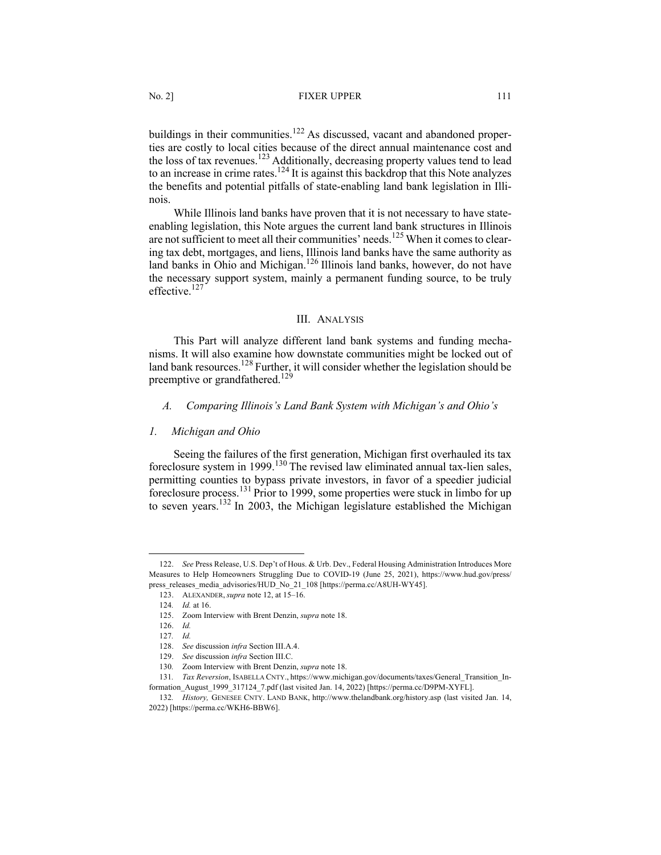buildings in their communities.<sup>122</sup> As discussed, vacant and abandoned properties are costly to local cities because of the direct annual maintenance cost and the loss of tax revenues.<sup>123</sup> Additionally, decreasing property values tend to lead to an increase in crime rates.<sup>124</sup> It is against this backdrop that this Note analyzes the benefits and potential pitfalls of state-enabling land bank legislation in Illinois.

While Illinois land banks have proven that it is not necessary to have stateenabling legislation, this Note argues the current land bank structures in Illinois are not sufficient to meet all their communities' needs.125 When it comes to clearing tax debt, mortgages, and liens, Illinois land banks have the same authority as land banks in Ohio and Michigan.<sup>126</sup> Illinois land banks, however, do not have the necessary support system, mainly a permanent funding source, to be truly effective.<sup>127</sup>

### III. ANALYSIS

This Part will analyze different land bank systems and funding mechanisms. It will also examine how downstate communities might be locked out of land bank resources.<sup>128</sup> Further, it will consider whether the legislation should be preemptive or grandfathered.<sup>129</sup>

### *A. Comparing Illinois's Land Bank System with Michigan's and Ohio's*

#### *1. Michigan and Ohio*

Seeing the failures of the first generation, Michigan first overhauled its tax foreclosure system in 1999.<sup>130</sup> The revised law eliminated annual tax-lien sales, permitting counties to bypass private investors, in favor of a speedier judicial foreclosure process.<sup>131</sup> Prior to 1999, some properties were stuck in limbo for up to seven years.<sup>132</sup> In 2003, the Michigan legislature established the Michigan

<sup>122.</sup> *See* Press Release, U.S. Dep't of Hous. & Urb. Dev., Federal Housing Administration Introduces More Measures to Help Homeowners Struggling Due to COVID-19 (June 25, 2021), https://www.hud.gov/press/ press\_releases\_media\_advisories/HUD\_No\_21\_108 [https://perma.cc/A8UH-WY45].

<sup>123.</sup> ALEXANDER, *supra* note 12, at 15–16.

<sup>124</sup>*. Id.* at 16.

<sup>125.</sup> Zoom Interview with Brent Denzin, *supra* note 18.

<sup>126.</sup> *Id.*

<sup>127</sup>*. Id.*

<sup>128.</sup> *See* discussion *infra* Section III.A.4.

<sup>129.</sup> *See* discussion *infra* Section III.C.

<sup>130</sup>*.* Zoom Interview with Brent Denzin, *supra* note 18.

<sup>131</sup>*. Tax Reversion*, ISABELLA CNTY., https://www.michigan.gov/documents/taxes/General\_Transition\_Information\_August\_1999\_317124\_7.pdf (last visited Jan. 14, 2022) [https://perma.cc/D9PM-XYFL].

<sup>132</sup>*. History,* GENESEE CNTY. LAND BANK, http://www.thelandbank.org/history.asp (last visited Jan. 14, 2022) [https://perma.cc/WKH6-BBW6].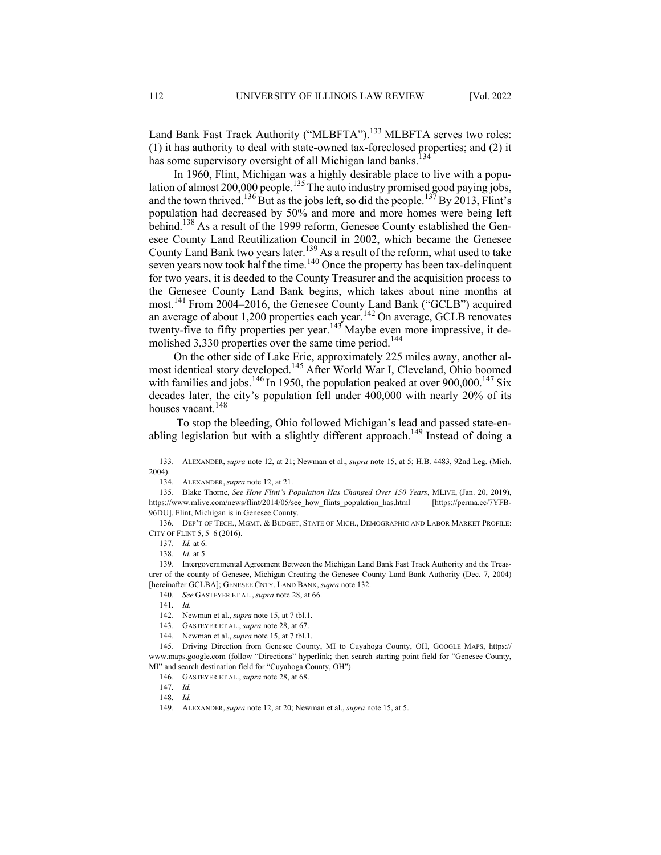Land Bank Fast Track Authority ("MLBFTA").<sup>133</sup> MLBFTA serves two roles: (1) it has authority to deal with state-owned tax-foreclosed properties; and (2) it has some supervisory oversight of all Michigan land banks.<sup>134</sup>

In 1960, Flint, Michigan was a highly desirable place to live with a population of almost 200,000 people.<sup>135</sup> The auto industry promised good paying jobs, and the town thrived.<sup>136</sup>But as the jobs left, so did the people.<sup>137</sup>By 2013, Flint's population had decreased by 50% and more and more homes were being left behind.<sup>138</sup> As a result of the 1999 reform, Genesee County established the Genesee County Land Reutilization Council in 2002, which became the Genesee County Land Bank two years later.<sup>139</sup> As a result of the reform, what used to take seven years now took half the time.<sup>140</sup> Once the property has been tax-delinquent for two years, it is deeded to the County Treasurer and the acquisition process to the Genesee County Land Bank begins, which takes about nine months at most.<sup>141</sup> From 2004–2016, the Genesee County Land Bank ("GCLB") acquired an average of about 1,200 properties each year.<sup>142</sup> On average, GCLB renovates twenty-five to fifty properties per year.<sup>143</sup> Maybe even more impressive, it demolished 3,330 properties over the same time period.<sup>144</sup>

On the other side of Lake Erie, approximately 225 miles away, another almost identical story developed.<sup>145</sup> After World War I, Cleveland, Ohio boomed with families and jobs.<sup>146</sup> In 1950, the population peaked at over  $900,000$ .<sup>147</sup> Six decades later, the city's population fell under 400,000 with nearly 20% of its houses vacant.<sup>148</sup>

To stop the bleeding, Ohio followed Michigan's lead and passed state-enabling legislation but with a slightly different approach.<sup>149</sup> Instead of doing a

<sup>133.</sup> ALEXANDER, *supra* note 12, at 21; Newman et al., *supra* note 15, at 5; H.B. 4483, 92nd Leg. (Mich. 2004).

<sup>134.</sup> ALEXANDER, *supra* note 12, at 21.

<sup>135.</sup> Blake Thorne, *See How Flint's Population Has Changed Over 150 Years*, MLIVE, (Jan. 20, 2019), https://www.mlive.com/news/flint/2014/05/see\_how\_flints\_population\_has.html [https://perma.cc/7YFB-96DU]. Flint, Michigan is in Genesee County.

<sup>136</sup>*.* DEP'T OF TECH., MGMT. & BUDGET, STATE OF MICH., DEMOGRAPHIC AND LABOR MARKET PROFILE: CITY OF FLINT 5, 5–6 (2016).

<sup>137.</sup> *Id.* at 6.

<sup>138</sup>*. Id.* at 5.

<sup>139.</sup> Intergovernmental Agreement Between the Michigan Land Bank Fast Track Authority and the Treasurer of the county of Genesee, Michigan Creating the Genesee County Land Bank Authority (Dec. 7, 2004) [hereinafter GCLBA]; GENESEE CNTY. LAND BANK, *supra* note 132.

<sup>140.</sup> *See* GASTEYER ET AL., *supra* note 28, at 66.

<sup>141</sup>*. Id.*

<sup>142.</sup> Newman et al., *supra* note 15, at 7 tbl.1.

<sup>143.</sup> GASTEYER ET AL., *supra* note 28, at 67.

<sup>144.</sup> Newman et al., *supra* note 15, at 7 tbl.1.

<sup>145.</sup> Driving Direction from Genesee County, MI to Cuyahoga County, OH, GOOGLE MAPS, https:// www.maps.google.com (follow "Directions" hyperlink; then search starting point field for "Genesee County, MI" and search destination field for "Cuyahoga County, OH").

<sup>146.</sup> GASTEYER ET AL., *supra* note 28, at 68.

<sup>147</sup>*. Id.*

<sup>148</sup>*. Id.*

<sup>149.</sup> ALEXANDER, *supra* note 12, at 20; Newman et al., *supra* note 15, at 5.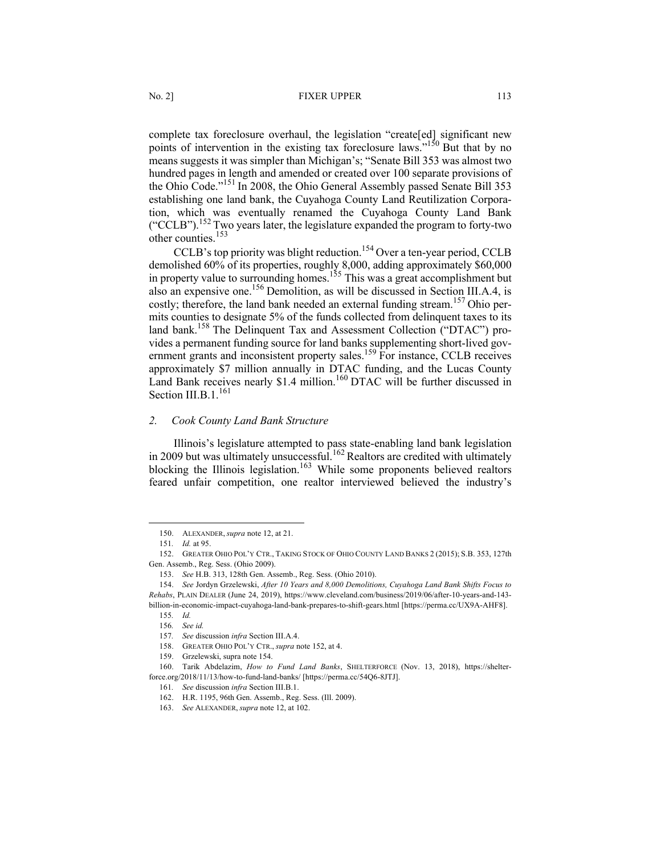complete tax foreclosure overhaul, the legislation "create[ed] significant new points of intervention in the existing tax foreclosure laws."<sup>150</sup> But that by no means suggests it was simpler than Michigan's; "Senate Bill 353 was almost two hundred pages in length and amended or created over 100 separate provisions of the Ohio Code."<sup>151</sup> In 2008, the Ohio General Assembly passed Senate Bill 353 establishing one land bank, the Cuyahoga County Land Reutilization Corporation, which was eventually renamed the Cuyahoga County Land Bank ("CCLB").<sup>152</sup> Two years later, the legislature expanded the program to forty-two other counties.<sup>153</sup>

CCLB's top priority was blight reduction.<sup>154</sup> Over a ten-year period, CCLB demolished 60% of its properties, roughly 8,000, adding approximately \$60,000 in property value to surrounding homes.<sup>155</sup> This was a great accomplishment but also an expensive one.156 Demolition, as will be discussed in Section III.A.4, is costly; therefore, the land bank needed an external funding stream.<sup>157</sup> Ohio permits counties to designate 5% of the funds collected from delinquent taxes to its land bank.<sup>158</sup> The Delinquent Tax and Assessment Collection ("DTAC") provides a permanent funding source for land banks supplementing short-lived government grants and inconsistent property sales.<sup>159</sup> For instance, CCLB receives approximately \$7 million annually in DTAC funding, and the Lucas County Land Bank receives nearly \$1.4 million.<sup>160</sup> DTAC will be further discussed in Section III.B.1.<sup>161</sup>

### *2. Cook County Land Bank Structure*

Illinois's legislature attempted to pass state-enabling land bank legislation in 2009 but was ultimately unsuccessful.<sup>162</sup> Realtors are credited with ultimately blocking the Illinois legislation.<sup>163</sup> While some proponents believed realtors feared unfair competition, one realtor interviewed believed the industry's

<sup>150.</sup> ALEXANDER, *supra* note 12, at 21.

<sup>151</sup>*. Id.* at 95.

<sup>152.</sup> GREATER OHIO POL'Y CTR., TAKING STOCK OF OHIO COUNTY LAND BANKS 2 (2015); S.B. 353, 127th Gen. Assemb., Reg. Sess. (Ohio 2009).

<sup>153.</sup> *See* H.B. 313, 128th Gen. Assemb., Reg. Sess. (Ohio 2010).

<sup>154.</sup> *See* Jordyn Grzelewski, *After 10 Years and 8,000 Demolitions, Cuyahoga Land Bank Shifts Focus to Rehabs*, PLAIN DEALER (June 24, 2019), https://www.cleveland.com/business/2019/06/after-10-years-and-143-

billion-in-economic-impact-cuyahoga-land-bank-prepares-to-shift-gears.html [https://perma.cc/UX9A-AHF8]. 155*. Id.*

<sup>156</sup>*. See id.*

<sup>157</sup>*. See* discussion *infra* Section III.A.4.

<sup>158.</sup> GREATER OHIO POL'Y CTR., *supra* note 152, at 4.

<sup>159.</sup> Grzelewski, supra note 154.

<sup>160.</sup> Tarik Abdelazim, *How to Fund Land Banks*, SHELTERFORCE (Nov. 13, 2018), https://shelterforce.org/2018/11/13/how-to-fund-land-banks/ [https://perma.cc/54Q6-8JTJ].

<sup>161</sup>*. See* discussion *infra* Section III.B.1.

<sup>162.</sup> H.R. 1195, 96th Gen. Assemb., Reg. Sess. (Ill. 2009).

<sup>163.</sup> *See* ALEXANDER, *supra* note 12, at 102.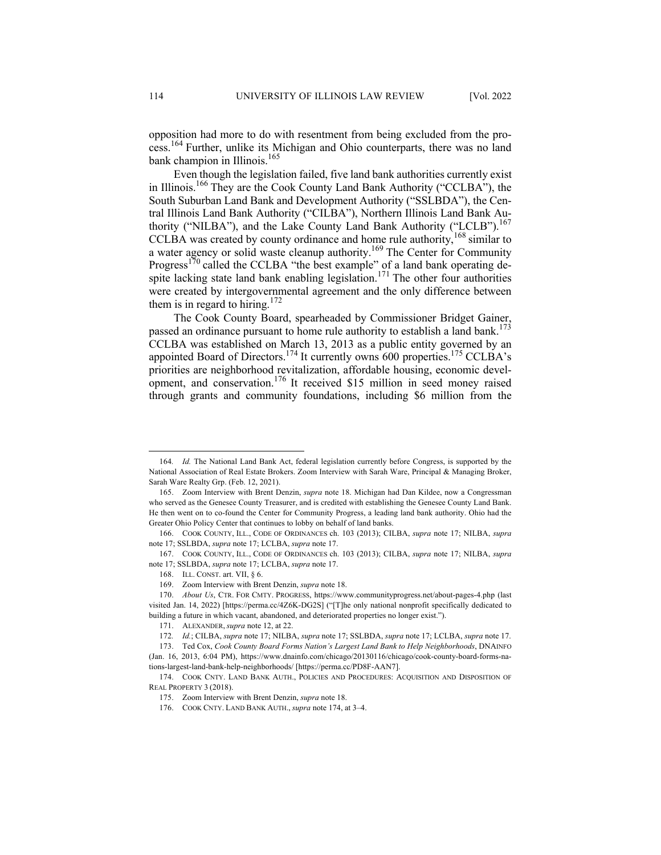opposition had more to do with resentment from being excluded from the process.<sup>164</sup> Further, unlike its Michigan and Ohio counterparts, there was no land bank champion in Illinois.<sup>165</sup>

Even though the legislation failed, five land bank authorities currently exist in Illinois.166 They are the Cook County Land Bank Authority ("CCLBA"), the South Suburban Land Bank and Development Authority ("SSLBDA"), the Central Illinois Land Bank Authority ("CILBA"), Northern Illinois Land Bank Authority ("NILBA"), and the Lake County Land Bank Authority ("LCLB").<sup>167</sup> CCLBA was created by county ordinance and home rule authority,<sup>168</sup> similar to a water agency or solid waste cleanup authority.<sup>169</sup> The Center for Community Progress<sup>170</sup> called the CCLBA "the best example" of a land bank operating despite lacking state land bank enabling legislation.<sup>171</sup> The other four authorities were created by intergovernmental agreement and the only difference between them is in regard to hiring.<sup>172</sup>

The Cook County Board, spearheaded by Commissioner Bridget Gainer, passed an ordinance pursuant to home rule authority to establish a land bank.<sup>173</sup> CCLBA was established on March 13, 2013 as a public entity governed by an appointed Board of Directors.<sup>174</sup> It currently owns 600 properties.<sup>175</sup> CCLBA's priorities are neighborhood revitalization, affordable housing, economic development, and conservation.<sup>176</sup> It received \$15 million in seed money raised through grants and community foundations, including \$6 million from the

<sup>164</sup>*. Id.* The National Land Bank Act, federal legislation currently before Congress, is supported by the National Association of Real Estate Brokers. Zoom Interview with Sarah Ware, Principal & Managing Broker, Sarah Ware Realty Grp. (Feb. 12, 2021).

<sup>165.</sup> Zoom Interview with Brent Denzin, *supra* note 18. Michigan had Dan Kildee, now a Congressman who served as the Genesee County Treasurer, and is credited with establishing the Genesee County Land Bank. He then went on to co-found the Center for Community Progress, a leading land bank authority. Ohio had the Greater Ohio Policy Center that continues to lobby on behalf of land banks.

<sup>166.</sup> COOK COUNTY, ILL., CODE OF ORDINANCES ch. 103 (2013); CILBA, *supra* note 17; NILBA, *supra* note 17; SSLBDA, *supra* note 17; LCLBA, *supra* note 17.

<sup>167.</sup> COOK COUNTY, ILL., CODE OF ORDINANCES ch. 103 (2013); CILBA, *supra* note 17; NILBA, *supra* note 17; SSLBDA, *supra* note 17; LCLBA, *supra* note 17.

<sup>168.</sup> ILL. CONST. art. VII, § 6.

<sup>169.</sup> Zoom Interview with Brent Denzin, *supra* note 18.

<sup>170.</sup> *About Us*, CTR. FOR CMTY. PROGRESS, https://www.communityprogress.net/about-pages-4.php (last visited Jan. 14, 2022) [https://perma.cc/4Z6K-DG2S] ("[T]he only national nonprofit specifically dedicated to building a future in which vacant, abandoned, and deteriorated properties no longer exist.").

<sup>171.</sup> ALEXANDER, *supra* note 12, at 22.

<sup>172</sup>*. Id.*; CILBA, *supra* note 17; NILBA, *supra* note 17; SSLBDA, *supra* note 17; LCLBA, *supra* note 17.

<sup>173.</sup> Ted Cox, *Cook County Board Forms Nation's Largest Land Bank to Help Neighborhoods*, DNAINFO (Jan. 16, 2013, 6:04 PM), https://www.dnainfo.com/chicago/20130116/chicago/cook-county-board-forms-nations-largest-land-bank-help-neighborhoods/ [https://perma.cc/PD8F-AAN7].

<sup>174.</sup> COOK CNTY. LAND BANK AUTH., POLICIES AND PROCEDURES: ACQUISITION AND DISPOSITION OF REAL PROPERTY 3 (2018).

<sup>175.</sup> Zoom Interview with Brent Denzin, *supra* note 18.

<sup>176.</sup> COOK CNTY. LAND BANK AUTH., *supra* note 174, at 3–4.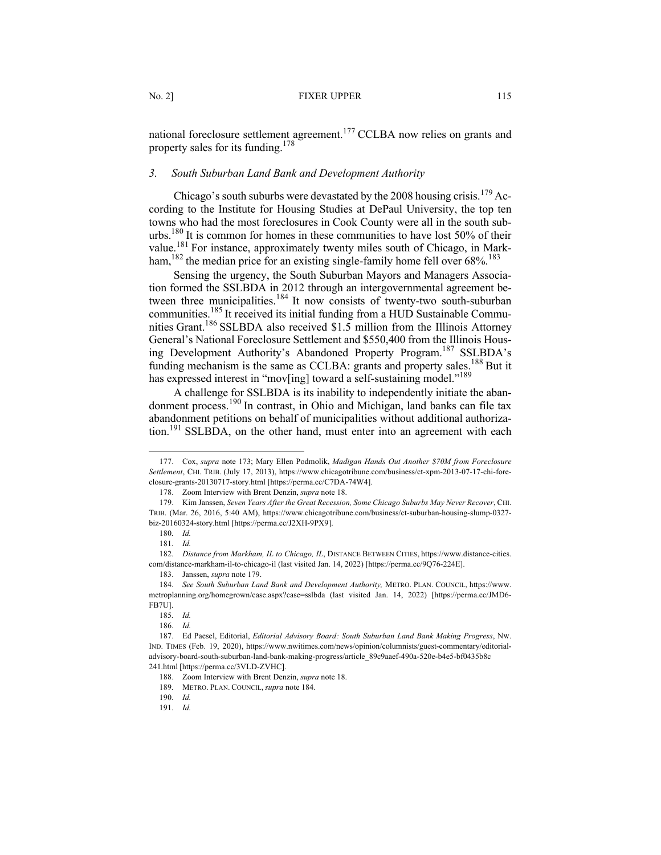national foreclosure settlement agreement.<sup>177</sup> CCLBA now relies on grants and property sales for its funding.<sup>178</sup>

## *3. South Suburban Land Bank and Development Authority*

Chicago's south suburbs were devastated by the 2008 housing crisis.<sup>179</sup> According to the Institute for Housing Studies at DePaul University, the top ten towns who had the most foreclosures in Cook County were all in the south suburbs.<sup>180</sup> It is common for homes in these communities to have lost 50% of their value.<sup>181</sup> For instance, approximately twenty miles south of Chicago, in Markham,<sup>182</sup> the median price for an existing single-family home fell over 68%.<sup>183</sup>

Sensing the urgency, the South Suburban Mayors and Managers Association formed the SSLBDA in 2012 through an intergovernmental agreement between three municipalities.<sup>184</sup> It now consists of twenty-two south-suburban communities.185 It received its initial funding from a HUD Sustainable Communities Grant.<sup>186</sup> SSLBDA also received \$1.5 million from the Illinois Attorney General's National Foreclosure Settlement and \$550,400 from the Illinois Housing Development Authority's Abandoned Property Program.<sup>187</sup> SSLBDA's funding mechanism is the same as CCLBA: grants and property sales.<sup>188</sup> But it has expressed interest in "mov[ing] toward a self-sustaining model."<sup>189</sup>

A challenge for SSLBDA is its inability to independently initiate the abandonment process.<sup>190</sup> In contrast, in Ohio and Michigan, land banks can file tax abandonment petitions on behalf of municipalities without additional authorization.<sup>191</sup> SSLBDA, on the other hand, must enter into an agreement with each

<sup>177.</sup> Cox, *supra* note 173; Mary Ellen Podmolik, *Madigan Hands Out Another \$70M from Foreclosure Settlement*, CHI. TRIB. (July 17, 2013), https://www.chicagotribune.com/business/ct-xpm-2013-07-17-chi-foreclosure-grants-20130717-story.html [https://perma.cc/C7DA-74W4].

<sup>178.</sup> Zoom Interview with Brent Denzin, *supra* note 18.

<sup>179.</sup> Kim Janssen, *Seven Years After the Great Recession, Some Chicago Suburbs May Never Recover*, CHI. TRIB. (Mar. 26, 2016, 5:40 AM), https://www.chicagotribune.com/business/ct-suburban-housing-slump-0327 biz-20160324-story.html [https://perma.cc/J2XH-9PX9].

<sup>180</sup>*. Id.*

<sup>181</sup>*. Id.*

<sup>182</sup>*. Distance from Markham, IL to Chicago, IL*, DISTANCE BETWEEN CITIES, https://www.distance-cities. com/distance-markham-il-to-chicago-il (last visited Jan. 14, 2022) [https://perma.cc/9Q76-224E].

<sup>183.</sup> Janssen, *supra* note 179.

<sup>184</sup>*. See South Suburban Land Bank and Development Authority,* METRO. PLAN. COUNCIL, https://www. metroplanning.org/homegrown/case.aspx?case=sslbda (last visited Jan. 14, 2022) [https://perma.cc/JMD6- FB7U].

<sup>185</sup>*. Id.*

<sup>186</sup>*. Id.*

<sup>187.</sup> Ed Paesel, Editorial, *Editorial Advisory Board: South Suburban Land Bank Making Progress*, NW. IND. TIMES (Feb. 19, 2020), https://www.nwitimes.com/news/opinion/columnists/guest-commentary/editorialadvisory-board-south-suburban-land-bank-making-progress/article\_89c9aaef-490a-520e-b4e5-bf0435b8c 241.html [https://perma.cc/3VLD-ZVHC].

<sup>188.</sup> Zoom Interview with Brent Denzin, *supra* note 18.

<sup>189</sup>*.* METRO. PLAN. COUNCIL, *supra* note 184.

<sup>190</sup>*. Id.*

<sup>191</sup>*. Id.*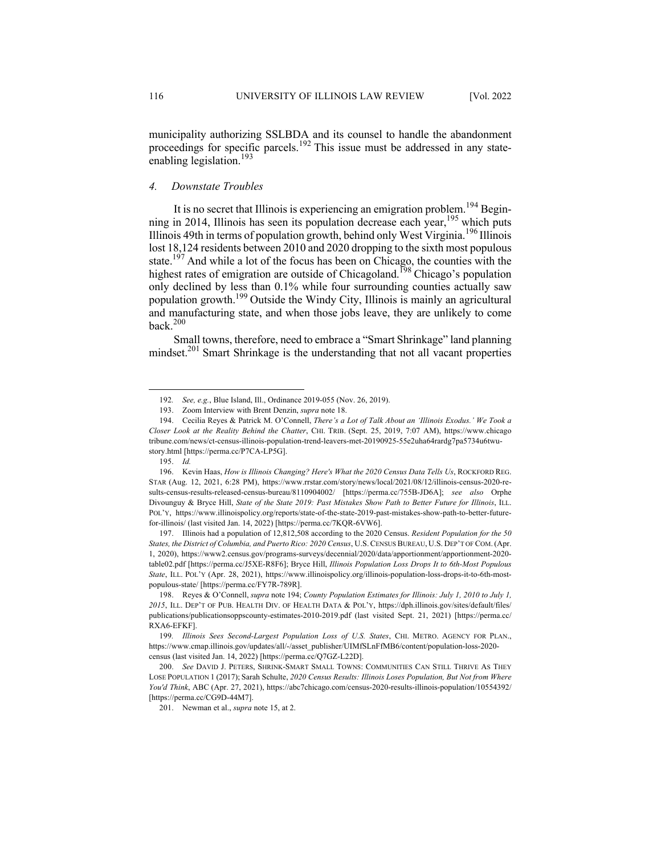municipality authorizing SSLBDA and its counsel to handle the abandonment proceedings for specific parcels.<sup>192</sup> This issue must be addressed in any stateenabling legislation.<sup>193</sup>

## *4. Downstate Troubles*

It is no secret that Illinois is experiencing an emigration problem.<sup>194</sup> Beginning in 2014, Illinois has seen its population decrease each year,  $\frac{1}{1}$ <sup>195</sup> which puts Illinois 49th in terms of population growth, behind only West Virginia.<sup>196</sup> Illinois lost 18,124 residents between 2010 and 2020 dropping to the sixth most populous state.<sup>197</sup> And while a lot of the focus has been on Chicago, the counties with the highest rates of emigration are outside of Chicagoland.<sup>198</sup> Chicago's population only declined by less than 0.1% while four surrounding counties actually saw population growth.199 Outside the Windy City, Illinois is mainly an agricultural and manufacturing state, and when those jobs leave, they are unlikely to come back. $200$ 

Small towns, therefore, need to embrace a "Smart Shrinkage" land planning mindset.<sup>201</sup> Smart Shrinkage is the understanding that not all vacant properties

197. Illinois had a population of 12,812,508 according to the 2020 Census. *Resident Population for the 50 States, the District of Columbia, and Puerto Rico: 2020 Census*, U.S.CENSUS BUREAU, U.S. DEP'T OF COM.(Apr. 1, 2020), https://www2.census.gov/programs-surveys/decennial/2020/data/apportionment/apportionment-2020 table02.pdf [https://perma.cc/J5XE-R8F6]; Bryce Hill, *Illinois Population Loss Drops It to 6th-Most Populous State*, ILL. POL'Y (Apr. 28, 2021), https://www.illinoispolicy.org/illinois-population-loss-drops-it-to-6th-mostpopulous-state/ [https://perma.cc/FY7R-789R].

<sup>192</sup>*. See, e.g.*, Blue Island, Ill., Ordinance 2019-055 (Nov. 26, 2019).

<sup>193.</sup> Zoom Interview with Brent Denzin, *supra* note 18.

<sup>194.</sup> Cecilia Reyes & Patrick M. O'Connell, *There's a Lot of Talk About an 'Illinois Exodus.' We Took a Closer Look at the Reality Behind the Chatter*, CHI. TRIB. (Sept. 25, 2019, 7:07 AM), https://www.chicago tribune.com/news/ct-census-illinois-population-trend-leavers-met-20190925-55e2uha64rardg7pa5734u6twustory.html [https://perma.cc/P7CA-LP5G].

<sup>195.</sup> *Id.*

<sup>196.</sup> Kevin Haas, *How is Illinois Changing? Here's What the 2020 Census Data Tells Us*, ROCKFORD REG. STAR (Aug. 12, 2021, 6:28 PM), https://www.rrstar.com/story/news/local/2021/08/12/illinois-census-2020-results-census-results-released-census-bureau/8110904002/ [https://perma.cc/755B-JD6A]; *see also* Orphe Divounguy & Bryce Hill, *State of the State 2019: Past Mistakes Show Path to Better Future for Illinois*, ILL. POL'Y, https://www.illinoispolicy.org/reports/state-of-the-state-2019-past-mistakes-show-path-to-better-futurefor-illinois/ (last visited Jan. 14, 2022) [https://perma.cc/7KQR-6VW6].

<sup>198.</sup> Reyes & O'Connell, *supra* note 194; *County Population Estimates for Illinois: July 1, 2010 to July 1, 2015*, ILL. DEP'T OF PUB. HEALTH DIV. OF HEALTH DATA & POL'Y, https://dph.illinois.gov/sites/default/files/ publications/publicationsoppscounty-estimates-2010-2019.pdf (last visited Sept. 21, 2021) [https://perma.cc/ RXA6-EFKF].

<sup>199</sup>*. Illinois Sees Second-Largest Population Loss of U.S. States*, CHI. METRO. AGENCY FOR PLAN., https://www.cmap.illinois.gov/updates/all/-/asset\_publisher/UIMfSLnFfMB6/content/population-loss-2020 census (last visited Jan. 14, 2022) [https://perma.cc/Q7GZ-L22D].

<sup>200.</sup> *See* DAVID J. PETERS, SHRINK-SMART SMALL TOWNS: COMMUNITIES CAN STILL THRIVE AS THEY LOSE POPULATION 1 (2017); Sarah Schulte, *2020 Census Results: Illinois Loses Population, But Not from Where You'd Think*, ABC (Apr. 27, 2021), https://abc7chicago.com/census-2020-results-illinois-population/10554392/ [https://perma.cc/CG9D-44M7].

<sup>201.</sup> Newman et al., *supra* note 15, at 2.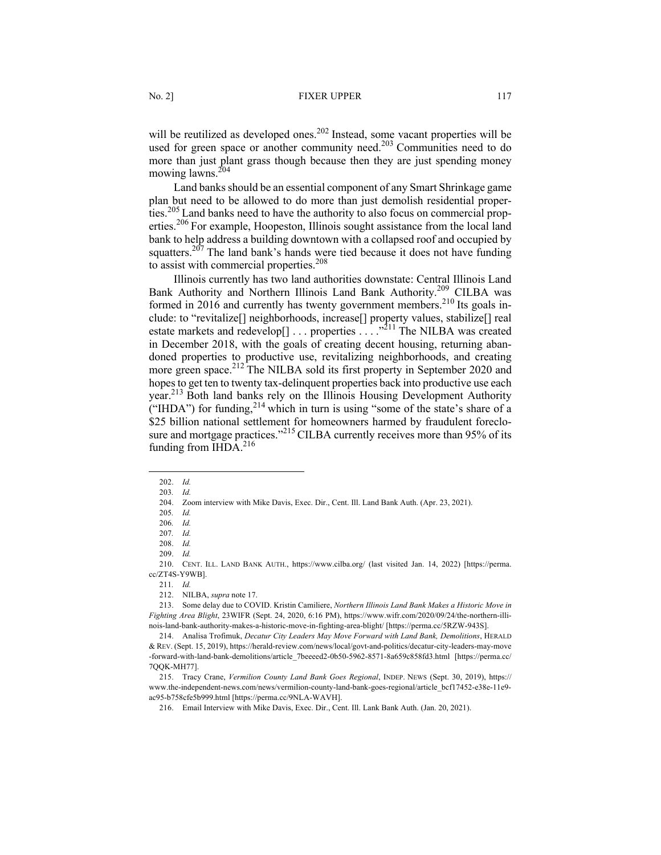will be reutilized as developed ones.<sup>202</sup> Instead, some vacant properties will be used for green space or another community need.<sup>203</sup> Communities need to do more than just plant grass though because then they are just spending money mowing lawns.<sup>204</sup>

Land banks should be an essential component of any Smart Shrinkage game plan but need to be allowed to do more than just demolish residential properties.<sup>205</sup> Land banks need to have the authority to also focus on commercial properties.<sup>206</sup> For example, Hoopeston, Illinois sought assistance from the local land bank to help address a building downtown with a collapsed roof and occupied by squatters.<sup>207</sup> The land bank's hands were tied because it does not have funding to assist with commercial properties.<sup>208</sup>

Illinois currently has two land authorities downstate: Central Illinois Land Bank Authority and Northern Illinois Land Bank Authority.<sup>209</sup> CILBA was formed in 2016 and currently has twenty government members.<sup>210</sup> Its goals include: to "revitalize[] neighborhoods, increase[] property values, stabilize[] real estate markets and redevelop[] . . . properties . . . ."211 The NILBA was created in December 2018, with the goals of creating decent housing, returning abandoned properties to productive use, revitalizing neighborhoods, and creating more green space.<sup>212</sup> The NILBA sold its first property in September 2020 and hopes to get ten to twenty tax-delinquent properties back into productive use each year.213 Both land banks rely on the Illinois Housing Development Authority ("IHDA") for funding,  $2^{14}$  which in turn is using "some of the state's share of a \$25 billion national settlement for homeowners harmed by fraudulent foreclosure and mortgage practices."<sup>215</sup> CILBA currently receives more than 95% of its funding from IHDA.<sup>216</sup>

<sup>202.</sup> *Id.*

<sup>203</sup>*. Id.*

<sup>204.</sup> Zoom interview with Mike Davis, Exec. Dir., Cent. Ill. Land Bank Auth. (Apr. 23, 2021).

<sup>205</sup>*. Id.*

<sup>206</sup>*. Id.*

<sup>207</sup>*. Id.*

<sup>208.</sup> *Id.*

<sup>209.</sup> *Id.*

<sup>210.</sup> CENT. ILL. LAND BANK AUTH., https://www.cilba.org/ (last visited Jan. 14, 2022) [https://perma. cc/ZT4S-Y9WB].

<sup>211</sup>*. Id.*

<sup>212.</sup> NILBA, *supra* note 17.

<sup>213.</sup> Some delay due to COVID. Kristin Camiliere, *Northern Illinois Land Bank Makes a Historic Move in Fighting Area Blight*, 23WIFR (Sept. 24, 2020, 6:16 PM), https://www.wifr.com/2020/09/24/the-northern-illinois-land-bank-authority-makes-a-historic-move-in-fighting-area-blight/ [https://perma.cc/5RZW-943S].

<sup>214.</sup> Analisa Trofimuk, *Decatur City Leaders May Move Forward with Land Bank, Demolitions*, HERALD & REV. (Sept. 15, 2019), https://herald-review.com/news/local/govt-and-politics/decatur-city-leaders-may-move -forward-with-land-bank-demolitions/article\_7beeeed2-0b50-5962-8571-8a659c858fd3.html [https://perma.cc/ 7QQK-MH77].

<sup>215.</sup> Tracy Crane, *Vermilion County Land Bank Goes Regional*, INDEP. NEWS (Sept. 30, 2019), https:// www.the-independent-news.com/news/vermilion-county-land-bank-goes-regional/article\_bcf17452-e38e-11e9 ac95-b758cfe5b999.html [https://perma.cc/9NLA-WAVH].

<sup>216.</sup> Email Interview with Mike Davis, Exec. Dir., Cent. Ill. Lank Bank Auth. (Jan. 20, 2021).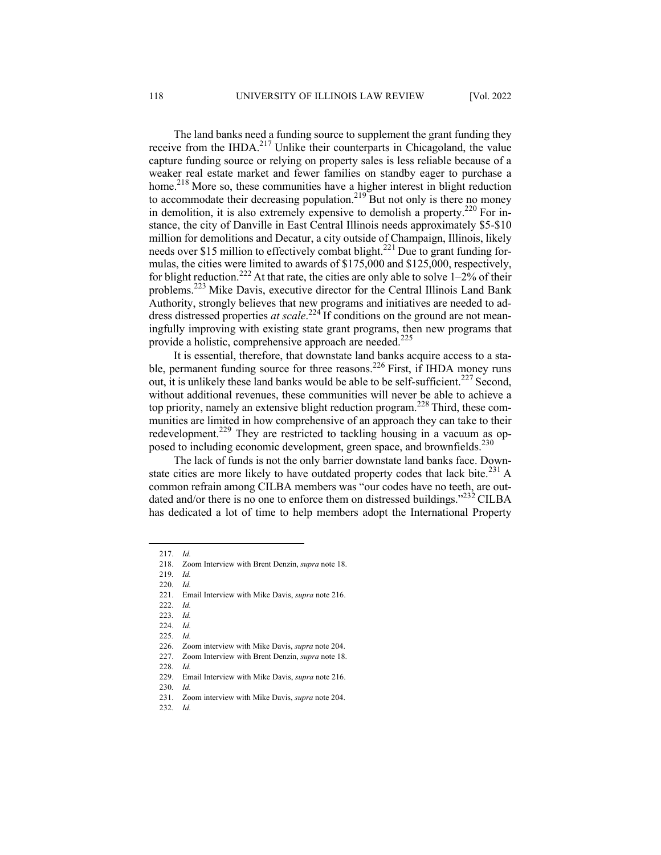The land banks need a funding source to supplement the grant funding they receive from the IHDA.<sup>217</sup> Unlike their counterparts in Chicagoland, the value capture funding source or relying on property sales is less reliable because of a weaker real estate market and fewer families on standby eager to purchase a home.<sup>218</sup> More so, these communities have a higher interest in blight reduction to accommodate their decreasing population.<sup>219</sup> But not only is there no money in demolition, it is also extremely expensive to demolish a property.<sup>220</sup> For instance, the city of Danville in East Central Illinois needs approximately \$5-\$10 million for demolitions and Decatur, a city outside of Champaign, Illinois, likely needs over \$15 million to effectively combat blight.<sup>221</sup> Due to grant funding formulas, the cities were limited to awards of \$175,000 and \$125,000, respectively, for blight reduction.<sup>222</sup> At that rate, the cities are only able to solve  $1-2\%$  of their problems.<sup>223</sup> Mike Davis, executive director for the Central Illinois Land Bank Authority, strongly believes that new programs and initiatives are needed to address distressed properties *at scale*. <sup>224</sup> If conditions on the ground are not meaningfully improving with existing state grant programs, then new programs that provide a holistic, comprehensive approach are needed.<sup>225</sup>

It is essential, therefore, that downstate land banks acquire access to a stable, permanent funding source for three reasons.<sup>226</sup> First, if IHDA money runs out, it is unlikely these land banks would be able to be self-sufficient.<sup>227</sup> Second, without additional revenues, these communities will never be able to achieve a top priority, namely an extensive blight reduction program.<sup>228</sup> Third, these communities are limited in how comprehensive of an approach they can take to their redevelopment.<sup>229</sup> They are restricted to tackling housing in a vacuum as opposed to including economic development, green space, and brownfields.<sup>230</sup>

The lack of funds is not the only barrier downstate land banks face. Downstate cities are more likely to have outdated property codes that lack bite.<sup>231</sup> A common refrain among CILBA members was "our codes have no teeth, are outdated and/or there is no one to enforce them on distressed buildings." $^{232}$  CILBA has dedicated a lot of time to help members adopt the International Property

<sup>217.</sup> *Id.*

<sup>218.</sup> Zoom Interview with Brent Denzin, *supra* note 18.

<sup>219</sup>*. Id.*

<sup>220</sup>*. Id.*

<sup>221.</sup> Email Interview with Mike Davis, *supra* note 216.

<sup>222.</sup> *Id.*

<sup>223</sup>*. Id.*

<sup>224.</sup> *Id.*

<sup>225</sup>*. Id.*

<sup>226.</sup> Zoom interview with Mike Davis, *supra* note 204.

<sup>227.</sup> Zoom Interview with Brent Denzin, *supra* note 18.

<sup>228</sup>*. Id.*

<sup>229.</sup> Email Interview with Mike Davis, *supra* note 216.

<sup>230</sup>*. Id.*

<sup>231.</sup> Zoom interview with Mike Davis, *supra* note 204.

<sup>232</sup>*. Id.*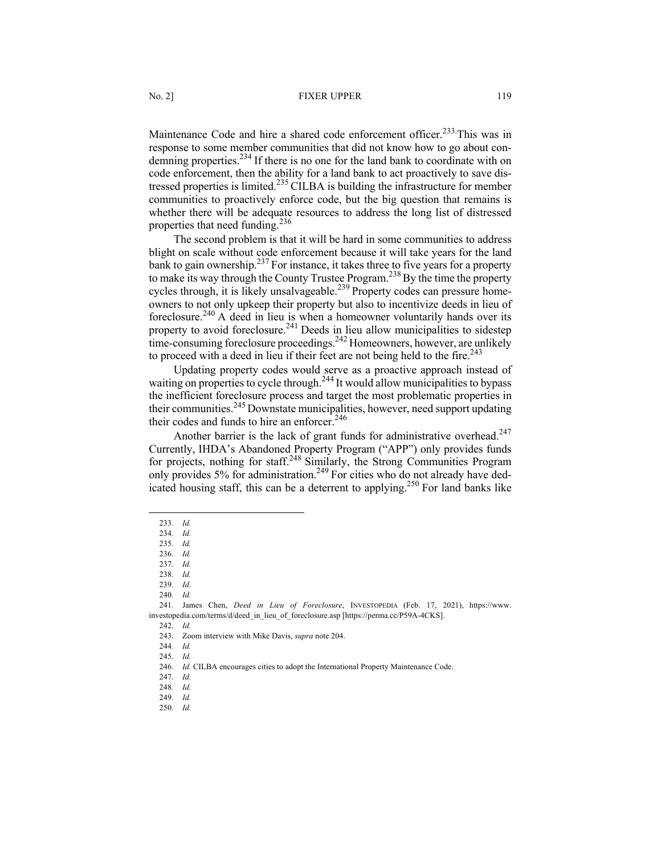Maintenance Code and hire a shared code enforcement officer.<sup>233</sup> This was in response to some member communities that did not know how to go about condemning properties.<sup>234</sup> If there is no one for the land bank to coordinate with on code enforcement, then the ability for a land bank to act proactively to save distressed properties is limited.<sup>235</sup> CILBA is building the infrastructure for member communities to proactively enforce code, but the big question that remains is whether there will be adequate resources to address the long list of distressed properties that need funding.<sup>236</sup>

The second problem is that it will be hard in some communities to address blight on scale without code enforcement because it will take years for the land bank to gain ownership.<sup>237</sup> For instance, it takes three to five years for a property to make its way through the County Trustee Program.<sup>238</sup> By the time the property cycles through, it is likely unsalvageable.<sup>239</sup> Property codes can pressure homeowners to not only upkeep their property but also to incentivize deeds in lieu of foreclosure.<sup>240</sup> A deed in lieu is when a homeowner voluntarily hands over its property to avoid foreclosure.<sup>241</sup> Deeds in lieu allow municipalities to sidestep time-consuming foreclosure proceedings.<sup>242</sup> Homeowners, however, are unlikely to proceed with a deed in lieu if their feet are not being held to the fire.<sup>243</sup>

Updating property codes would serve as a proactive approach instead of waiting on properties to cycle through.<sup>244</sup> It would allow municipalities to bypass the inefficient foreclosure process and target the most problematic properties in their communities.<sup>245</sup> Downstate municipalities, however, need support updating their codes and funds to hire an enforcer.<sup>246</sup>

Another barrier is the lack of grant funds for administrative overhead.<sup>247</sup> Currently, IHDA's Abandoned Property Program ("APP") only provides funds for projects, nothing for staff.<sup>248</sup> Similarly, the Strong Communities Program only provides 5% for administration.<sup>249</sup> For cities who do not already have dedicated housing staff, this can be a deterrent to applying.<sup>250</sup> For land banks like

241*.* James Chen, *Deed in Lieu of Foreclosure*, INVESTOPEDIA (Feb. 17, 2021), https://www. investopedia.com/terms/d/deed\_in\_lieu\_of\_foreclosure.asp [https://perma.cc/P59A-4CKS].

<sup>233</sup>*. Id.*

<sup>234</sup>*. Id.*

<sup>235</sup>*. Id.*

<sup>236</sup>*. Id.*

<sup>237</sup>*. Id.*

<sup>238</sup>*. Id.* 239*. Id.*

<sup>240</sup>*. Id.*

<sup>242</sup>*. Id.*

<sup>243.</sup> Zoom interview with Mike Davis, *supra* note 204.

<sup>244</sup>*. Id.*

<sup>245</sup>*. Id.*

<sup>246</sup>*. Id.* CILBA encourages cities to adopt the International Property Maintenance Code.

<sup>247</sup>*. Id.* 248*. Id.*

<sup>249</sup>*. Id.*

<sup>250</sup>*. Id.*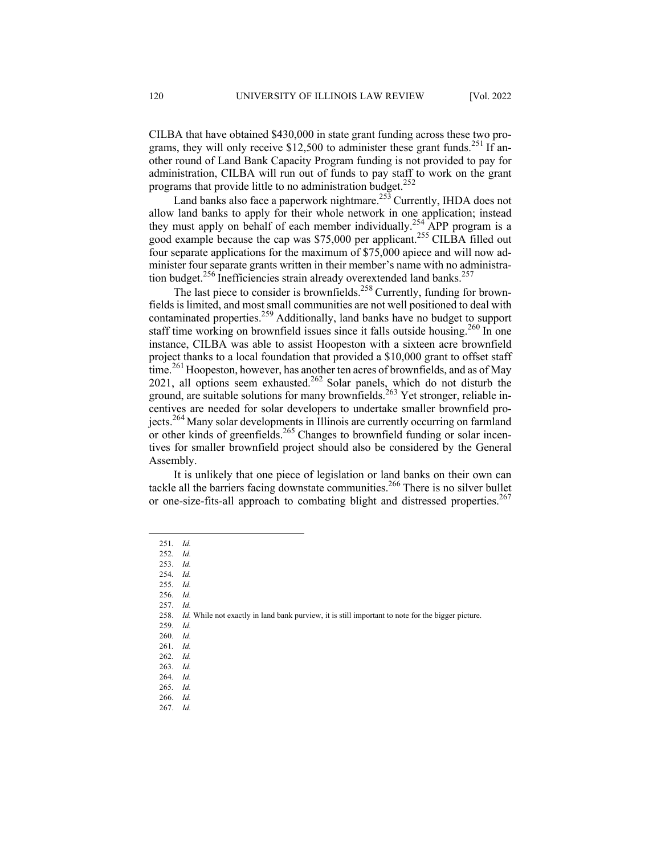CILBA that have obtained \$430,000 in state grant funding across these two programs, they will only receive \$12,500 to administer these grant funds.<sup>251</sup> If another round of Land Bank Capacity Program funding is not provided to pay for administration, CILBA will run out of funds to pay staff to work on the grant programs that provide little to no administration budget.<sup>252</sup>

Land banks also face a paperwork nightmare.<sup>253</sup> Currently, IHDA does not allow land banks to apply for their whole network in one application; instead they must apply on behalf of each member individually.<sup>254</sup> APP program is a good example because the cap was \$75,000 per applicant.<sup>255</sup> CILBA filled out four separate applications for the maximum of \$75,000 apiece and will now administer four separate grants written in their member's name with no administration budget.<sup>256</sup> Inefficiencies strain already overextended land banks.<sup>257</sup>

The last piece to consider is brownfields.<sup>258</sup> Currently, funding for brownfields is limited, and most small communities are not well positioned to deal with contaminated properties.259 Additionally, land banks have no budget to support staff time working on brownfield issues since it falls outside housing.<sup>260</sup> In one instance, CILBA was able to assist Hoopeston with a sixteen acre brownfield project thanks to a local foundation that provided a \$10,000 grant to offset staff  $time<sup>261</sup>$  Hoopeston, however, has another ten acres of brownfields, and as of May 2021, all options seem exhausted.<sup>262</sup> Solar panels, which do not disturb the ground, are suitable solutions for many brownfields.<sup>263</sup> Yet stronger, reliable incentives are needed for solar developers to undertake smaller brownfield projects.264 Many solar developments in Illinois are currently occurring on farmland or other kinds of greenfields.<sup>265</sup> Changes to brownfield funding or solar incentives for smaller brownfield project should also be considered by the General Assembly.

It is unlikely that one piece of legislation or land banks on their own can tackle all the barriers facing downstate communities.<sup>266</sup> There is no silver bullet or one-size-fits-all approach to combating blight and distressed properties.<sup>267</sup>

259*. Id.*

<sup>251</sup>*. Id.*

<sup>252</sup>*. Id.*

<sup>253.</sup> *Id.*

<sup>254</sup>*. Id.*

<sup>255</sup>*. Id.*

<sup>256</sup>*. Id.* 257. *Id.*

<sup>258.</sup> *Id.* While not exactly in land bank purview, it is still important to note for the bigger picture.

<sup>260</sup>*. Id.*

<sup>261</sup>*. Id.* 262*. Id.*

<sup>263</sup>*. Id.*

<sup>264</sup>*. Id.*

<sup>265</sup>*. Id.*

<sup>266.</sup> *Id.*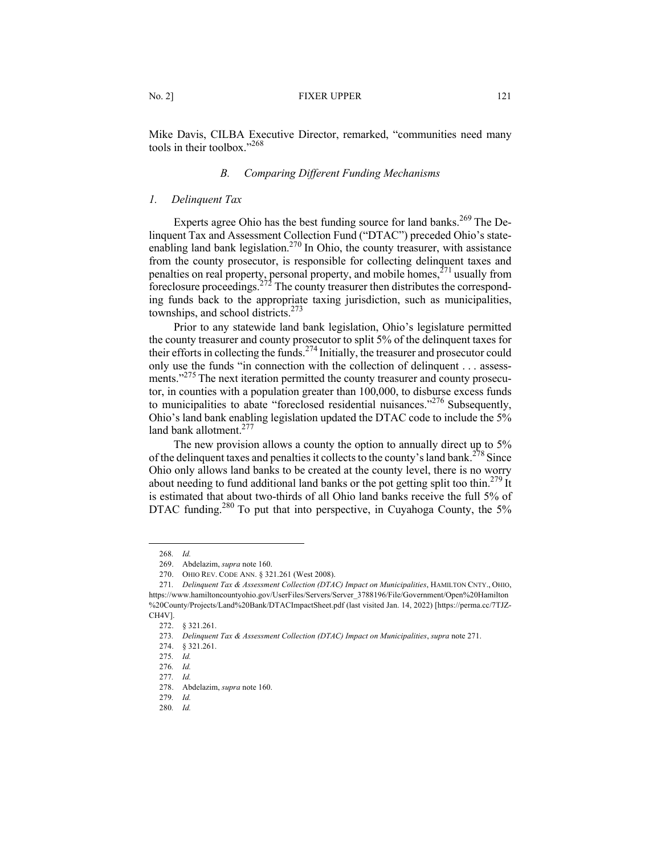Mike Davis, CILBA Executive Director, remarked, "communities need many tools in their toolbox."268

### *B. Comparing Different Funding Mechanisms*

### *1. Delinquent Tax*

Experts agree Ohio has the best funding source for land banks.<sup>269</sup> The Delinquent Tax and Assessment Collection Fund ("DTAC") preceded Ohio's stateenabling land bank legislation.<sup>270</sup> In Ohio, the county treasurer, with assistance from the county prosecutor, is responsible for collecting delinquent taxes and penalties on real property, personal property, and mobile homes,<sup>271</sup> usually from foreclosure proceedings.<sup>272</sup> The county treasurer then distributes the corresponding funds back to the appropriate taxing jurisdiction, such as municipalities, townships, and school districts.<sup>273</sup>

Prior to any statewide land bank legislation, Ohio's legislature permitted the county treasurer and county prosecutor to split 5% of the delinquent taxes for their efforts in collecting the funds.<sup>274</sup> Initially, the treasurer and prosecutor could only use the funds "in connection with the collection of delinquent . . . assessments."<sup>275</sup> The next iteration permitted the county treasurer and county prosecutor, in counties with a population greater than 100,000, to disburse excess funds to municipalities to abate "foreclosed residential nuisances."<sup>276</sup> Subsequently, Ohio's land bank enabling legislation updated the DTAC code to include the 5% land bank allotment.<sup>277</sup>

The new provision allows a county the option to annually direct up to 5% of the delinquent taxes and penalties it collects to the county's land bank.<sup>278</sup> Since Ohio only allows land banks to be created at the county level, there is no worry about needing to fund additional land banks or the pot getting split too thin.<sup>279</sup> It is estimated that about two-thirds of all Ohio land banks receive the full 5% of DTAC funding.<sup>280</sup> To put that into perspective, in Cuyahoga County, the 5%

<sup>268</sup>*. Id.*

<sup>269.</sup> Abdelazim, *supra* note 160.

<sup>270.</sup> OHIO REV. CODE ANN. § 321.261 (West 2008).

<sup>271</sup>*. Delinquent Tax & Assessment Collection (DTAC) Impact on Municipalities*, HAMILTON CNTY., OHIO, https://www.hamiltoncountyohio.gov/UserFiles/Servers/Server\_3788196/File/Government/Open%20Hamilton %20County/Projects/Land%20Bank/DTACImpactSheet.pdf (last visited Jan. 14, 2022) [https://perma.cc/7TJZ-CH4V].

<sup>272.</sup> § 321.261.

<sup>273</sup>*. Delinquent Tax & Assessment Collection (DTAC) Impact on Municipalities*, *supra* note 271.

<sup>274.</sup> § 321.261.

<sup>275</sup>*. Id.*

<sup>276</sup>*. Id.*

<sup>277</sup>*. Id.*

<sup>278.</sup> Abdelazim, *supra* note 160.

<sup>279</sup>*. Id.*

<sup>280</sup>*. Id.*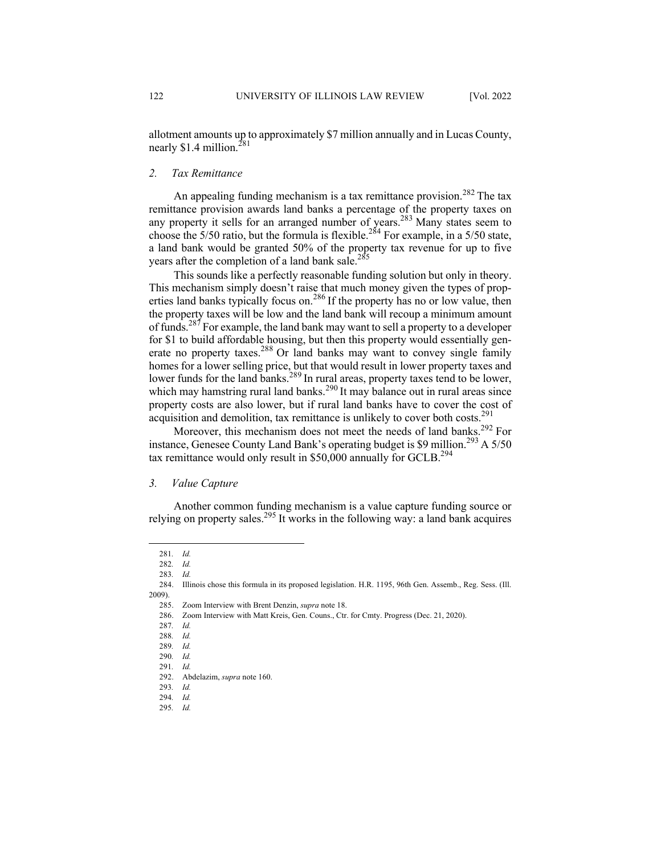allotment amounts up to approximately \$7 million annually and in Lucas County, nearly  $$1.4$  million.<sup>281</sup>

#### *2. Tax Remittance*

An appealing funding mechanism is a tax remittance provision.<sup>282</sup> The tax remittance provision awards land banks a percentage of the property taxes on any property it sells for an arranged number of years.<sup>283</sup> Many states seem to choose the  $5/50$  ratio, but the formula is flexible.<sup>284</sup> For example, in a  $5/50$  state, a land bank would be granted 50% of the property tax revenue for up to five years after the completion of a land bank sale.<sup>285</sup>

This sounds like a perfectly reasonable funding solution but only in theory. This mechanism simply doesn't raise that much money given the types of properties land banks typically focus on.<sup>286</sup> If the property has no or low value, then the property taxes will be low and the land bank will recoup a minimum amount of funds.<sup>287</sup> For example, the land bank may want to sell a property to a developer for \$1 to build affordable housing, but then this property would essentially generate no property taxes.<sup>288</sup> Or land banks may want to convey single family homes for a lower selling price, but that would result in lower property taxes and lower funds for the land banks.<sup>289</sup> In rural areas, property taxes tend to be lower, which may hamstring rural land banks.<sup>290</sup> It may balance out in rural areas since property costs are also lower, but if rural land banks have to cover the cost of acquisition and demolition, tax remittance is unlikely to cover both costs.<sup>291</sup>

Moreover, this mechanism does not meet the needs of land banks.<sup>292</sup> For instance, Genesee County Land Bank's operating budget is \$9 million.<sup>293</sup> A 5/50 tax remittance would only result in \$50,000 annually for GCLB.<sup>294</sup>

#### *3. Value Capture*

Another common funding mechanism is a value capture funding source or relying on property sales.<sup>295</sup> It works in the following way: a land bank acquires

<sup>281</sup>*. Id.*

<sup>282</sup>*. Id.*

<sup>283</sup>*. Id.*

<sup>284.</sup> Illinois chose this formula in its proposed legislation. H.R. 1195, 96th Gen. Assemb., Reg. Sess. (Ill. 2009).

<sup>285.</sup> Zoom Interview with Brent Denzin, *supra* note 18.

<sup>286.</sup> Zoom Interview with Matt Kreis, Gen. Couns., Ctr. for Cmty. Progress (Dec. 21, 2020).

<sup>287</sup>*. Id.*

<sup>288</sup>*. Id.*

<sup>289</sup>*. Id.*

<sup>290</sup>*. Id.*

<sup>291</sup>*. Id.*

<sup>292.</sup> Abdelazim, *supra* note 160.

<sup>293</sup>*. Id.*

<sup>294</sup>*. Id.*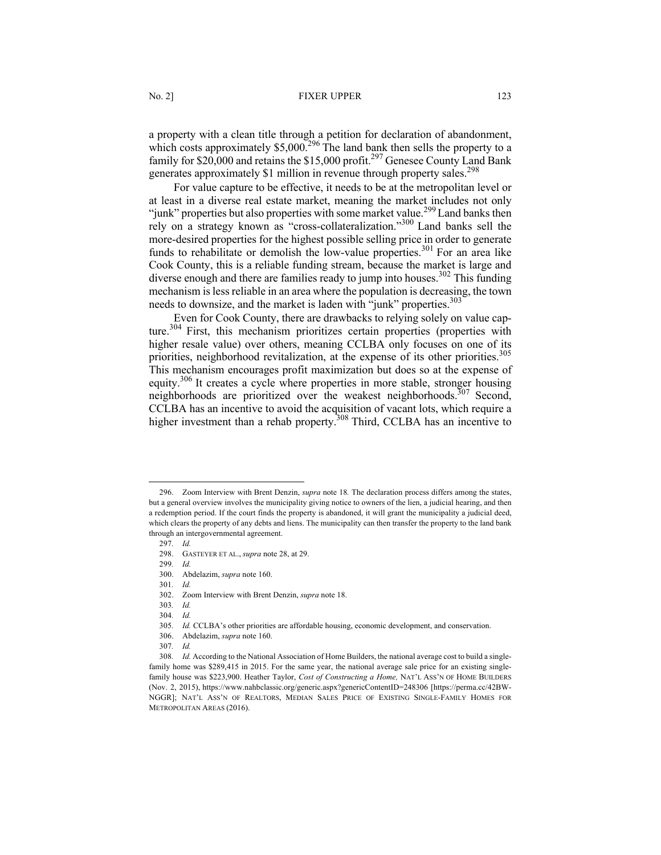#### No. 2] **FIXER UPPER** 123

a property with a clean title through a petition for declaration of abandonment, which costs approximately  $$5,000$ .<sup>296</sup> The land bank then sells the property to a family for \$20,000 and retains the \$15,000 profit.<sup>297</sup> Genesee County Land Bank generates approximately \$1 million in revenue through property sales.<sup>298</sup>

For value capture to be effective, it needs to be at the metropolitan level or at least in a diverse real estate market, meaning the market includes not only "junk" properties but also properties with some market value.<sup>299</sup> Land banks then rely on a strategy known as "cross-collateralization."<sup>300</sup> Land banks sell the more-desired properties for the highest possible selling price in order to generate funds to rehabilitate or demolish the low-value properties.<sup>301</sup> For an area like Cook County, this is a reliable funding stream, because the market is large and diverse enough and there are families ready to jump into houses.<sup>302</sup> This funding mechanism is less reliable in an area where the population is decreasing, the town needs to downsize, and the market is laden with "junk" properties.<sup>303</sup>

Even for Cook County, there are drawbacks to relying solely on value capture.<sup>304</sup> First, this mechanism prioritizes certain properties (properties with higher resale value) over others, meaning CCLBA only focuses on one of its priorities, neighborhood revitalization, at the expense of its other priorities.<sup>305</sup> This mechanism encourages profit maximization but does so at the expense of equity.306 It creates a cycle where properties in more stable, stronger housing neighborhoods are prioritized over the weakest neighborhoods.<sup>307</sup> Second, CCLBA has an incentive to avoid the acquisition of vacant lots, which require a higher investment than a rehab property.<sup>308</sup> Third, CCLBA has an incentive to

<sup>296.</sup> Zoom Interview with Brent Denzin, *supra* note 18*.* The declaration process differs among the states, but a general overview involves the municipality giving notice to owners of the lien, a judicial hearing, and then a redemption period. If the court finds the property is abandoned, it will grant the municipality a judicial deed, which clears the property of any debts and liens. The municipality can then transfer the property to the land bank through an intergovernmental agreement.

<sup>297</sup>*. Id.* 298. GASTEYER ET AL., *supra* note 28, at 29.

<sup>299</sup>*. Id.*

<sup>300.</sup> Abdelazim, *supra* note 160.

<sup>301</sup>*. Id.*

<sup>302.</sup> Zoom Interview with Brent Denzin, *supra* note 18.

<sup>303</sup>*. Id.*

<sup>304</sup>*. Id.*

<sup>305</sup>*. Id.* CCLBA's other priorities are affordable housing, economic development, and conservation.

<sup>306.</sup> Abdelazim, *supra* note 160.

<sup>307</sup>*. Id.*

<sup>308</sup>*. Id.* According to the National Association of Home Builders, the national average cost to build a singlefamily home was \$289,415 in 2015. For the same year, the national average sale price for an existing singlefamily house was \$223,900. Heather Taylor, *Cost of Constructing a Home,* NAT'L ASS'N OF HOME BUILDERS (Nov. 2, 2015), https://www.nahbclassic.org/generic.aspx?genericContentID=248306 [https://perma.cc/42BW-NGGR]; NAT'L ASS'N OF REALTORS, MEDIAN SALES PRICE OF EXISTING SINGLE-FAMILY HOMES FOR METROPOLITAN AREAS (2016).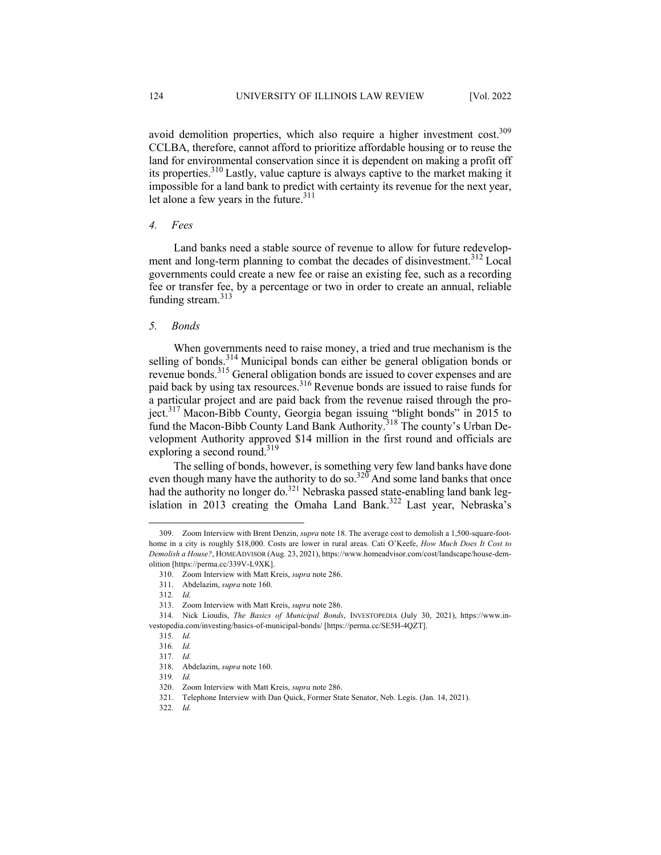avoid demolition properties, which also require a higher investment cost.<sup>309</sup> CCLBA, therefore, cannot afford to prioritize affordable housing or to reuse the land for environmental conservation since it is dependent on making a profit off its properties.310 Lastly, value capture is always captive to the market making it impossible for a land bank to predict with certainty its revenue for the next year, let alone a few years in the future. $311$ 

## *4. Fees*

Land banks need a stable source of revenue to allow for future redevelopment and long-term planning to combat the decades of disinvestment.<sup>312</sup> Local governments could create a new fee or raise an existing fee, such as a recording fee or transfer fee, by a percentage or two in order to create an annual, reliable funding stream. $313$ 

#### *5. Bonds*

When governments need to raise money, a tried and true mechanism is the selling of bonds. $314$  Municipal bonds can either be general obligation bonds or revenue bonds.<sup>315</sup> General obligation bonds are issued to cover expenses and are paid back by using tax resources.316 Revenue bonds are issued to raise funds for a particular project and are paid back from the revenue raised through the project.<sup>317</sup> Macon-Bibb County, Georgia began issuing "blight bonds" in 2015 to fund the Macon-Bibb County Land Bank Authority.<sup>318</sup> The county's Urban Development Authority approved \$14 million in the first round and officials are exploring a second round.<sup>319</sup>

The selling of bonds, however, is something very few land banks have done even though many have the authority to do so. $320^\circ$  And some land banks that once had the authority no longer do.<sup>321</sup> Nebraska passed state-enabling land bank legislation in 2013 creating the Omaha Land Bank.<sup>322</sup> Last year, Nebraska's

<sup>309.</sup> Zoom Interview with Brent Denzin, *supra* note 18. The average cost to demolish a 1,500-square-foothome in a city is roughly \$18,000. Costs are lower in rural areas. Cati O'Keefe, *How Much Does It Cost to Demolish a House?*, HOMEADVISOR (Aug. 23, 2021), https://www.homeadvisor.com/cost/landscape/house-demolition [https://perma.cc/339V-L9XK].

<sup>310.</sup> Zoom Interview with Matt Kreis, *supra* note 286.

<sup>311.</sup> Abdelazim, *supra* note 160.

<sup>312</sup>*. Id.*

<sup>313.</sup> Zoom Interview with Matt Kreis, *supra* note 286.

<sup>314</sup>*.* Nick Lioudis, *The Basics of Municipal Bonds*, INVESTOPEDIA (July 30, 2021), https://www.investopedia.com/investing/basics-of-municipal-bonds/ [https://perma.cc/SE5H-4QZT].

<sup>315</sup>*. Id.*

<sup>316</sup>*. Id.*

<sup>317</sup>*. Id.*

<sup>318.</sup> Abdelazim, *supra* note 160.

<sup>319</sup>*. Id.*

<sup>320.</sup> Zoom Interview with Matt Kreis, *supra* note 286.

<sup>321.</sup> Telephone Interview with Dan Quick, Former State Senator, Neb. Legis. (Jan. 14, 2021).

<sup>322.</sup> *Id.*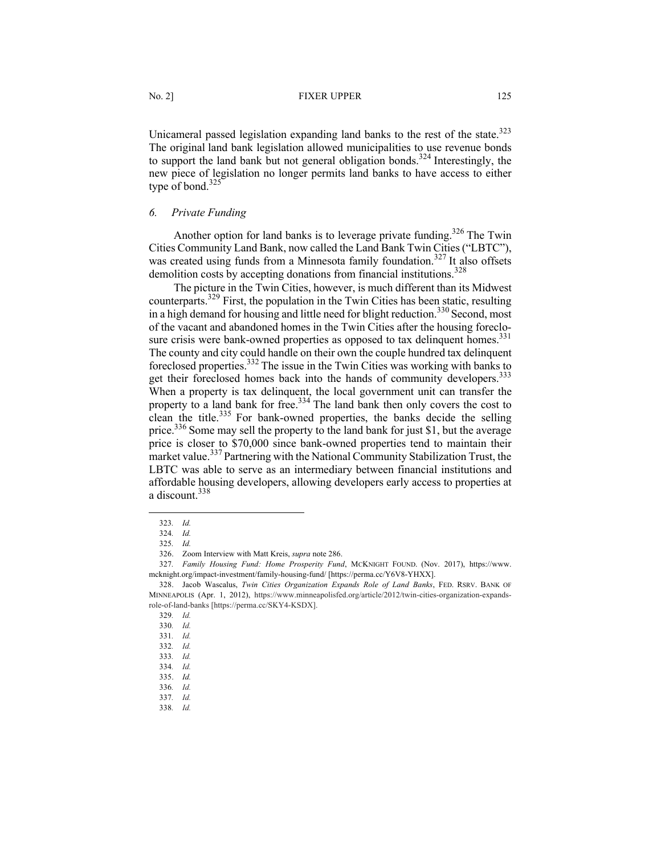Unicameral passed legislation expanding land banks to the rest of the state. $323$ The original land bank legislation allowed municipalities to use revenue bonds to support the land bank but not general obligation bonds.<sup>324</sup> Interestingly, the new piece of legislation no longer permits land banks to have access to either type of bond. $325$ 

## *6. Private Funding*

Another option for land banks is to leverage private funding.<sup>326</sup> The Twin Cities Community Land Bank, now called the Land Bank Twin Cities ("LBTC"), was created using funds from a Minnesota family foundation.<sup>327</sup> It also offsets demolition costs by accepting donations from financial institutions.<sup>328</sup>

The picture in the Twin Cities, however, is much different than its Midwest counterparts.329 First, the population in the Twin Cities has been static, resulting in a high demand for housing and little need for blight reduction.<sup>330</sup> Second, most of the vacant and abandoned homes in the Twin Cities after the housing foreclosure crisis were bank-owned properties as opposed to tax delinquent homes.<sup>331</sup> The county and city could handle on their own the couple hundred tax delinquent foreclosed properties.<sup>332</sup> The issue in the Twin Cities was working with banks to get their foreclosed homes back into the hands of community developers.<sup>333</sup> When a property is tax delinquent, the local government unit can transfer the property to a land bank for free.<sup>334</sup> The land bank then only covers the cost to clean the title.<sup>335</sup> For bank-owned properties, the banks decide the selling price.<sup>336</sup> Some may sell the property to the land bank for just \$1, but the average price is closer to \$70,000 since bank-owned properties tend to maintain their market value.<sup>337</sup> Partnering with the National Community Stabilization Trust, the LBTC was able to serve as an intermediary between financial institutions and affordable housing developers, allowing developers early access to properties at a discount.<sup>338</sup>

<sup>323</sup>*. Id.* 324*. Id.*

<sup>325</sup>*. Id.*

<sup>326.</sup> Zoom Interview with Matt Kreis, *supra* note 286.

<sup>327</sup>*. Family Housing Fund: Home Prosperity Fund*, MCKNIGHT FOUND. (Nov. 2017), https://www. mcknight.org/impact-investment/family-housing-fund/ [https://perma.cc/Y6V8-YHXX].

<sup>328.</sup> Jacob Wascalus, *Twin Cities Organization Expands Role of Land Banks*, FED. RSRV. BANK OF MINNEAPOLIS (Apr. 1, 2012), https://www.minneapolisfed.org/article/2012/twin-cities-organization-expandsrole-of-land-banks [https://perma.cc/SKY4-KSDX].

<sup>329</sup>*. Id.*

<sup>330</sup>*. Id.*

<sup>331</sup>*. Id.*

<sup>332</sup>*. Id.*

<sup>333</sup>*. Id.*

<sup>334</sup>*. Id.*

<sup>335.</sup> *Id.*

<sup>336</sup>*. Id.*

<sup>337</sup>*. Id.*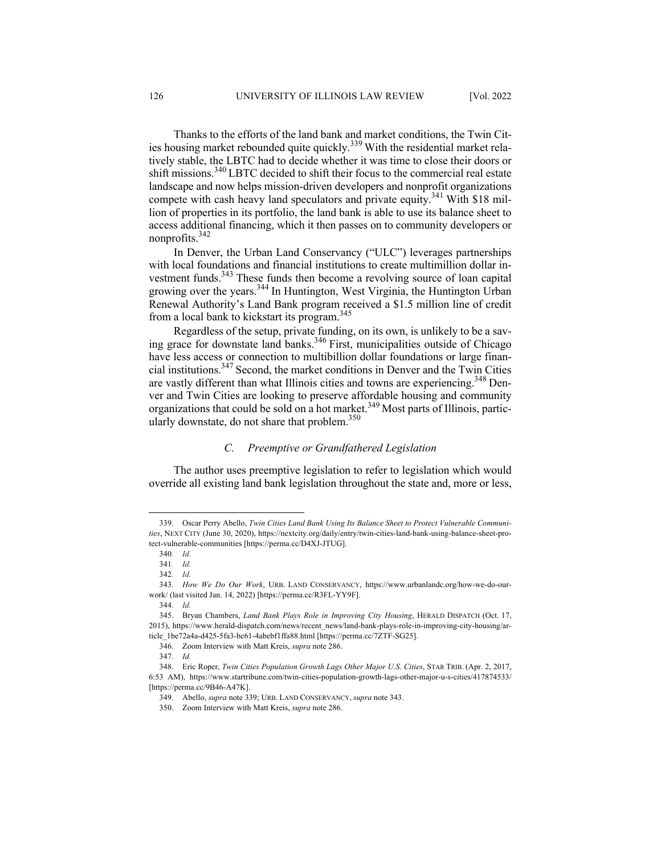Thanks to the efforts of the land bank and market conditions, the Twin Cities housing market rebounded quite quickly.<sup>339</sup> With the residential market relatively stable, the LBTC had to decide whether it was time to close their doors or shift missions.<sup>340</sup> LBTC decided to shift their focus to the commercial real estate landscape and now helps mission-driven developers and nonprofit organizations compete with cash heavy land speculators and private equity.<sup>341</sup> With \$18 million of properties in its portfolio, the land bank is able to use its balance sheet to access additional financing, which it then passes on to community developers or nonprofits.<sup>342</sup>

In Denver, the Urban Land Conservancy ("ULC") leverages partnerships with local foundations and financial institutions to create multimillion dollar investment funds.<sup>343</sup> These funds then become a revolving source of loan capital growing over the years.<sup>344</sup> In Huntington, West Virginia, the Huntington Urban Renewal Authority's Land Bank program received a \$1.5 million line of credit from a local bank to kickstart its program.<sup>345</sup>

Regardless of the setup, private funding, on its own, is unlikely to be a saving grace for downstate land banks. <sup>346</sup> First, municipalities outside of Chicago have less access or connection to multibillion dollar foundations or large financial institutions.347 Second, the market conditions in Denver and the Twin Cities are vastly different than what Illinois cities and towns are experiencing.<sup>348</sup> Denver and Twin Cities are looking to preserve affordable housing and community organizations that could be sold on a hot market.<sup>349</sup> Most parts of Illinois, particularly downstate, do not share that problem. 350

## *C. Preemptive or Grandfathered Legislation*

The author uses preemptive legislation to refer to legislation which would override all existing land bank legislation throughout the state and, more or less,

<sup>339.</sup> Oscar Perry Abello, *Twin Cities Land Bank Using Its Balance Sheet to Protect Vulnerable Communities*, NEXT CITY (June 30, 2020), https://nextcity.org/daily/entry/twin-cities-land-bank-using-balance-sheet-protect-vulnerable-communities [https://perma.cc/D4XJ-JTUG].

<sup>340</sup>*. Id.*

<sup>341</sup>*. Id.*

<sup>342</sup>*. Id.*

<sup>343</sup>*. How We Do Our Work*, URB. LAND CONSERVANCY, https://www.urbanlandc.org/how-we-do-ourwork/ (last visited Jan. 14, 2022) [https://perma.cc/R3FL-YY9F].

<sup>344</sup>*. Id.*

<sup>345.</sup> Bryan Chambers, *Land Bank Plays Role in Improving City Housing*, HERALD DISPATCH (Oct. 17, 2015), https://www.herald-dispatch.com/news/recent\_news/land-bank-plays-role-in-improving-city-housing/article\_1be72a4a-d425-5fa3-bc61-4abebf1ffa88.html [https://perma.cc/7ZTF-SG25].

<sup>346.</sup> Zoom Interview with Matt Kreis, *supra* note 286.

<sup>347.</sup> *Id.*

<sup>348.</sup> Eric Roper, *Twin Cities Population Growth Lags Other Major U.S. Cities*, STAR TRIB. (Apr. 2, 2017, 6:53 AM), https://www.startribune.com/twin-cities-population-growth-lags-other-major-u-s-cities/417874533/ [https://perma.cc/9B46-A47K].

<sup>349.</sup> Abello, *supra* note 339; URB. LAND CONSERVANCY, *supra* note 343.

<sup>350.</sup> Zoom Interview with Matt Kreis, *supra* note 286.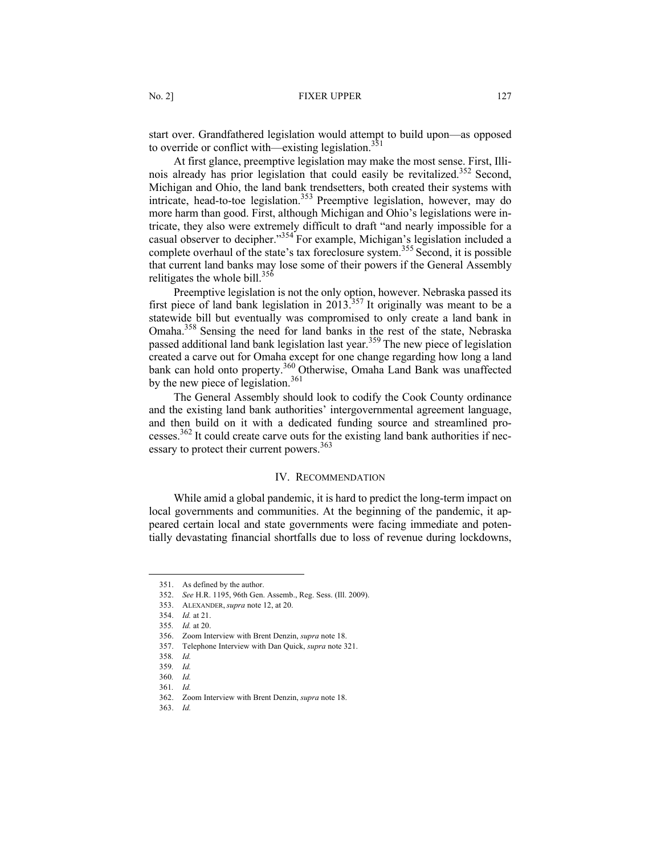start over. Grandfathered legislation would attempt to build upon—as opposed to override or conflict with—existing legislation.<sup>35</sup>

At first glance, preemptive legislation may make the most sense. First, Illinois already has prior legislation that could easily be revitalized.<sup>352</sup> Second, Michigan and Ohio, the land bank trendsetters, both created their systems with intension and only the tand can be added to the legislation.<sup>353</sup> Preemptive legislation, however, may do more harm than good. First, although Michigan and Ohio's legislations were intricate, they also were extremely difficult to draft "and nearly impossible for a casual observer to decipher."354 For example, Michigan's legislation included a complete overhaul of the state's tax foreclosure system.<sup>355</sup> Second, it is possible that current land banks may lose some of their powers if the General Assembly relitigates the whole bill. $356$ 

Preemptive legislation is not the only option, however. Nebraska passed its first piece of land bank legislation in 2013.<sup>357</sup> It originally was meant to be a statewide bill but eventually was compromised to only create a land bank in Omaha.358 Sensing the need for land banks in the rest of the state, Nebraska passed additional land bank legislation last year.<sup>359</sup> The new piece of legislation created a carve out for Omaha except for one change regarding how long a land bank can hold onto property.<sup>360</sup> Otherwise, Omaha Land Bank was unaffected by the new piece of legislation.<sup>361</sup>

The General Assembly should look to codify the Cook County ordinance and the existing land bank authorities' intergovernmental agreement language, and then build on it with a dedicated funding source and streamlined processes. $362$  It could create carve outs for the existing land bank authorities if necessary to protect their current powers.<sup>363</sup>

#### IV. RECOMMENDATION

While amid a global pandemic, it is hard to predict the long-term impact on local governments and communities. At the beginning of the pandemic, it appeared certain local and state governments were facing immediate and potentially devastating financial shortfalls due to loss of revenue during lockdowns,

<sup>351.</sup> As defined by the author.

<sup>352.</sup> *See* H.R. 1195, 96th Gen. Assemb., Reg. Sess. (Ill. 2009).

<sup>353.</sup> ALEXANDER, *supra* note 12, at 20.

<sup>354.</sup> *Id.* at 21.

<sup>355</sup>*. Id.* at 20.

<sup>356.</sup> Zoom Interview with Brent Denzin, *supra* note 18.

<sup>357.</sup> Telephone Interview with Dan Quick, *supra* note 321.

<sup>358</sup>*. Id.*

<sup>359</sup>*. Id.*

<sup>360</sup>*. Id.*

<sup>361</sup>*. Id.*

<sup>362.</sup> Zoom Interview with Brent Denzin, *supra* note 18.

<sup>363.</sup> *Id.*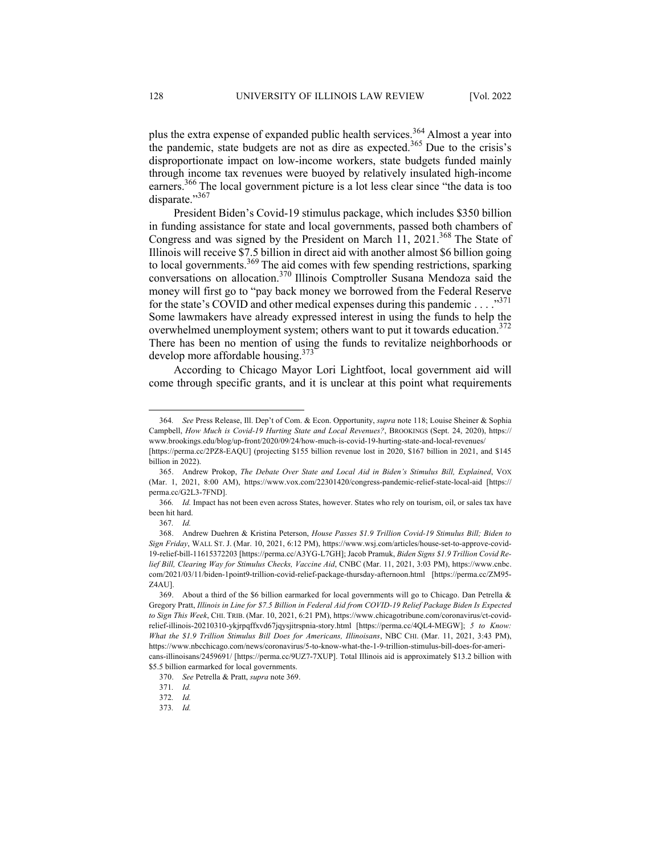plus the extra expense of expanded public health services.<sup>364</sup> Almost a year into the pandemic, state budgets are not as dire as expected.<sup>365</sup> Due to the crisis's disproportionate impact on low-income workers, state budgets funded mainly through income tax revenues were buoyed by relatively insulated high-income earners.<sup>366</sup> The local government picture is a lot less clear since "the data is too disparate."367

President Biden's Covid-19 stimulus package, which includes \$350 billion in funding assistance for state and local governments, passed both chambers of Congress and was signed by the President on March 11, 2021.<sup>368</sup> The State of Illinois will receive \$7.5 billion in direct aid with another almost \$6 billion going to local governments.<sup>369</sup> The aid comes with few spending restrictions, sparking conversations on allocation.370 Illinois Comptroller Susana Mendoza said the money will first go to "pay back money we borrowed from the Federal Reserve for the state's COVID and other medical expenses during this pandemic  $\dots$ ."<sup>371</sup> Some lawmakers have already expressed interest in using the funds to help the overwhelmed unemployment system; others want to put it towards education.<sup>372</sup> There has been no mention of using the funds to revitalize neighborhoods or develop more affordable housing.<sup>373</sup>

According to Chicago Mayor Lori Lightfoot, local government aid will come through specific grants, and it is unclear at this point what requirements

<sup>364</sup>*. See* Press Release, Ill. Dep't of Com. & Econ. Opportunity, *supra* note 118; Louise Sheiner & Sophia Campbell, *How Much is Covid-19 Hurting State and Local Revenues?*, BROOKINGS (Sept. 24, 2020), https:// www.brookings.edu/blog/up-front/2020/09/24/how-much-is-covid-19-hurting-state-and-local-revenues/

<sup>[</sup>https://perma.cc/2PZ8-EAQU] (projecting \$155 billion revenue lost in 2020, \$167 billion in 2021, and \$145 billion in 2022).

<sup>365.</sup> Andrew Prokop, *The Debate Over State and Local Aid in Biden's Stimulus Bill, Explained*, VOX (Mar. 1, 2021, 8:00 AM), https://www.vox.com/22301420/congress-pandemic-relief-state-local-aid [https:// perma.cc/G2L3-7FND].

<sup>366</sup>*. Id.* Impact has not been even across States, however. States who rely on tourism, oil, or sales tax have been hit hard.

<sup>367</sup>*. Id.*

<sup>368.</sup> Andrew Duehren & Kristina Peterson, *House Passes \$1.9 Trillion Covid-19 Stimulus Bill; Biden to Sign Friday*, WALL ST. J. (Mar. 10, 2021, 6:12 PM), https://www.wsj.com/articles/house-set-to-approve-covid-19-relief-bill-11615372203 [https://perma.cc/A3YG-L7GH]; Jacob Pramuk, *Biden Signs \$1.9 Trillion Covid Relief Bill, Clearing Way for Stimulus Checks, Vaccine Aid*, CNBC (Mar. 11, 2021, 3:03 PM), https://www.cnbc. com/2021/03/11/biden-1point9-trillion-covid-relief-package-thursday-afternoon.html [https://perma.cc/ZM95- Z4AU].

<sup>369.</sup> About a third of the \$6 billion earmarked for local governments will go to Chicago. Dan Petrella & Gregory Pratt, *Illinois in Line for \$7.5 Billion in Federal Aid from COVID-19 Relief Package Biden Is Expected to Sign This Week*, CHI. TRIB. (Mar. 10, 2021, 6:21 PM), https://www.chicagotribune.com/coronavirus/ct-covidrelief-illinois-20210310-ykjrpqffxvd67jqysjitrspnia-story.html [https://perma.cc/4QL4-MEGW]; *5 to Know: What the \$1.9 Trillion Stimulus Bill Does for Americans, Illinoisans*, NBC CHI. (Mar. 11, 2021, 3:43 PM), https://www.nbcchicago.com/news/coronavirus/5-to-know-what-the-1-9-trillion-stimulus-bill-does-for-americans-illinoisans/2459691/ [https://perma.cc/9UZ7-7XUP]. Total Illinois aid is approximately \$13.2 billion with

<sup>\$5.5</sup> billion earmarked for local governments.

<sup>370.</sup> *See* Petrella & Pratt, *supra* note 369.

<sup>371</sup>*. Id.*

<sup>372</sup>*. Id.*

<sup>373</sup>*. Id.*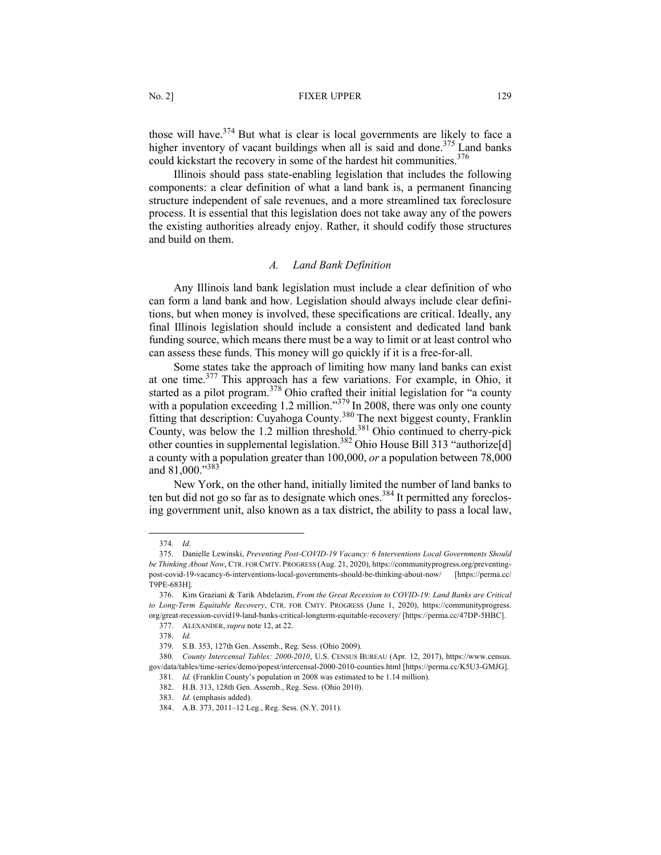### No. 2] **FIXER UPPER** 129

those will have.<sup>374</sup> But what is clear is local governments are likely to face a higher inventory of vacant buildings when all is said and done.<sup>375</sup> Land banks could kickstart the recovery in some of the hardest hit communities.<sup>376</sup>

Illinois should pass state-enabling legislation that includes the following components: a clear definition of what a land bank is, a permanent financing structure independent of sale revenues, and a more streamlined tax foreclosure process. It is essential that this legislation does not take away any of the powers the existing authorities already enjoy. Rather, it should codify those structures and build on them.

#### *A. Land Bank Definition*

Any Illinois land bank legislation must include a clear definition of who can form a land bank and how. Legislation should always include clear definitions, but when money is involved, these specifications are critical. Ideally, any final Illinois legislation should include a consistent and dedicated land bank funding source, which means there must be a way to limit or at least control who can assess these funds. This money will go quickly if it is a free-for-all.

Some states take the approach of limiting how many land banks can exist at one time.377 This approach has a few variations. For example, in Ohio, it started as a pilot program.<sup>378</sup> Ohio crafted their initial legislation for "a county with a population exceeding 1.2 million."<sup>379</sup> In 2008, there was only one county fitting that description: Cuyahoga County.<sup>380</sup> The next biggest county, Franklin County, was below the 1.2 million threshold.<sup>381</sup> Ohio continued to cherry-pick other counties in supplemental legislation.382 Ohio House Bill 313 "authorize[d] a county with a population greater than 100,000, *or* a population between 78,000 and 81,000."<sup>383</sup>

New York, on the other hand, initially limited the number of land banks to ten but did not go so far as to designate which ones.<sup>384</sup> It permitted any foreclosing government unit, also known as a tax district, the ability to pass a local law,

<sup>374</sup>*. Id.*

<sup>375.</sup> Danielle Lewinski, *Preventing Post-COVID-19 Vacancy: 6 Interventions Local Governments Should be Thinking About Now*, CTR. FOR CMTY. PROGRESS (Aug. 21, 2020), https://communityprogress.org/preventingpost-covid-19-vacancy-6-interventions-local-governments-should-be-thinking-about-now/ [https://perma.cc/ T9PE-683H].

<sup>376.</sup> Kim Graziani & Tarik Abdelazim, *From the Great Recession to COVID-19: Land Banks are Critical to Long-Term Equitable Recovery*, CTR. FOR CMTY. PROGRESS (June 1, 2020), https://communityprogress. org/great-recession-covid19-land-banks-critical-longterm-equitable-recovery/ [https://perma.cc/47DP-5HBC].

<sup>377.</sup> ALEXANDER, *supra* note 12, at 22.

<sup>378.</sup> *Id.*

<sup>379.</sup> S.B. 353, 127th Gen. Assemb., Reg. Sess. (Ohio 2009).

<sup>380</sup>*. County Intercensal Tables: 2000-2010*, U.S. CENSUS BUREAU (Apr. 12, 2017), https://www.census. gov/data/tables/time-series/demo/popest/intercensal-2000-2010-counties.html [https://perma.cc/K5U3-GMJG].

<sup>381</sup>*. Id.* (Franklin County's population in 2008 was estimated to be 1.14 million).

<sup>382.</sup> H.B. 313, 128th Gen. Assemb., Reg. Sess. (Ohio 2010).

<sup>383.</sup> *Id.* (emphasis added).

<sup>384.</sup> A.B. 373, 2011–12 Leg., Reg. Sess. (N.Y. 2011).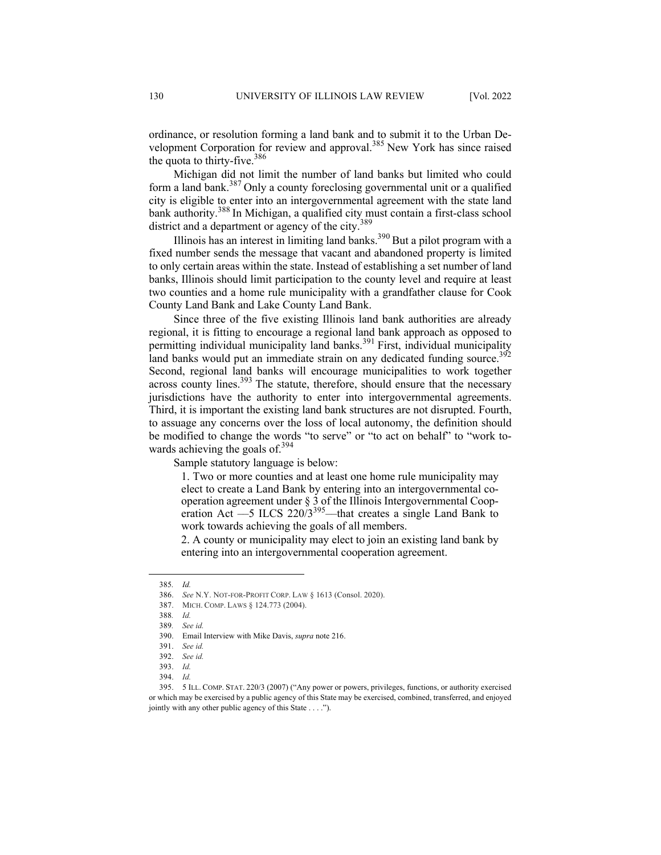ordinance, or resolution forming a land bank and to submit it to the Urban Development Corporation for review and approval.<sup>385</sup> New York has since raised the quota to thirty-five.  $386$ 

Michigan did not limit the number of land banks but limited who could form a land bank.<sup>387</sup> Only a county foreclosing governmental unit or a qualified city is eligible to enter into an intergovernmental agreement with the state land bank authority.<sup>388</sup> In Michigan, a qualified city must contain a first-class school district and a department or agency of the city.<sup>389</sup>

Illinois has an interest in limiting land banks.<sup>390</sup> But a pilot program with a fixed number sends the message that vacant and abandoned property is limited to only certain areas within the state. Instead of establishing a set number of land banks, Illinois should limit participation to the county level and require at least two counties and a home rule municipality with a grandfather clause for Cook County Land Bank and Lake County Land Bank.

Since three of the five existing Illinois land bank authorities are already regional, it is fitting to encourage a regional land bank approach as opposed to permitting individual municipality land banks.<sup>391</sup> First, individual municipality land banks would put an immediate strain on any dedicated funding source.<sup>392</sup> Second, regional land banks will encourage municipalities to work together across county lines. $393$  The statute, therefore, should ensure that the necessary jurisdictions have the authority to enter into intergovernmental agreements. Third, it is important the existing land bank structures are not disrupted. Fourth, to assuage any concerns over the loss of local autonomy, the definition should be modified to change the words "to serve" or "to act on behalf" to "work towards achieving the goals of.<sup>394</sup>

Sample statutory language is below:

1. Two or more counties and at least one home rule municipality may elect to create a Land Bank by entering into an intergovernmental cooperation agreement under § 3 of the Illinois Intergovernmental Cooperation Act ––5 ILCS 220/3<sup>395</sup> ––that creates a single Land Bank to work towards achieving the goals of all members.

2. A county or municipality may elect to join an existing land bank by entering into an intergovernmental cooperation agreement.

<sup>385</sup>*. Id.*

<sup>386.</sup> *See* N.Y. NOT-FOR-PROFIT CORP. LAW § 1613 (Consol. 2020).

<sup>387.</sup> MICH. COMP. LAWS § 124.773 (2004).

<sup>388</sup>*. Id.*

<sup>389</sup>*. See id.*

<sup>390.</sup> Email Interview with Mike Davis, *supra* note 216.

<sup>391.</sup> *See id.*

<sup>392.</sup> *See id.*

<sup>393.</sup> *Id.*

<sup>394.</sup> *Id.*

<sup>395.</sup> 5 ILL. COMP. STAT. 220/3 (2007) ("Any power or powers, privileges, functions, or authority exercised or which may be exercised by a public agency of this State may be exercised, combined, transferred, and enjoyed jointly with any other public agency of this State . . . .").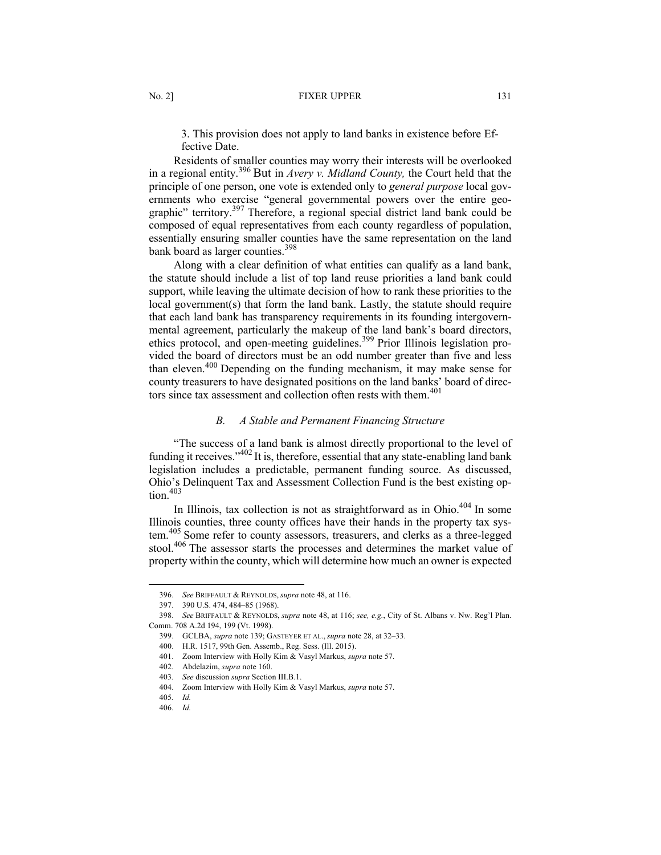3. This provision does not apply to land banks in existence before Effective Date.

Residents of smaller counties may worry their interests will be overlooked in a regional entity.<sup>396</sup> But in *Avery v. Midland County,* the Court held that the principle of one person, one vote is extended only to *general purpose* local governments who exercise "general governmental powers over the entire geographic" territory.<sup>397</sup> Therefore, a regional special district land bank could be composed of equal representatives from each county regardless of population, essentially ensuring smaller counties have the same representation on the land bank board as larger counties.<sup>398</sup>

Along with a clear definition of what entities can qualify as a land bank, the statute should include a list of top land reuse priorities a land bank could support, while leaving the ultimate decision of how to rank these priorities to the local government(s) that form the land bank. Lastly, the statute should require that each land bank has transparency requirements in its founding intergovernmental agreement, particularly the makeup of the land bank's board directors, ethics protocol, and open-meeting guidelines.<sup>399</sup> Prior Illinois legislation provided the board of directors must be an odd number greater than five and less than eleven.<sup>400</sup> Depending on the funding mechanism, it may make sense for county treasurers to have designated positions on the land banks' board of directors since tax assessment and collection often rests with them. 401

## *B. A Stable and Permanent Financing Structure*

"The success of a land bank is almost directly proportional to the level of funding it receives."402 It is, therefore, essential that any state-enabling land bank legislation includes a predictable, permanent funding source. As discussed, Ohio's Delinquent Tax and Assessment Collection Fund is the best existing op- $\text{tion}^{\,403}$ 

In Illinois, tax collection is not as straightforward as in Ohio. $404$  In some Illinois counties, three county offices have their hands in the property tax system.<sup>405</sup> Some refer to county assessors, treasurers, and clerks as a three-legged stool.<sup>406</sup> The assessor starts the processes and determines the market value of property within the county, which will determine how much an owner is expected

<sup>396.</sup> *See* BRIFFAULT & REYNOLDS, *supra* note 48, at 116.

<sup>397.</sup> 390 U.S. 474, 484–85 (1968).

<sup>398.</sup> *See* BRIFFAULT & REYNOLDS, *supra* note 48, at 116; *see, e.g.*, City of St. Albans v. Nw. Reg'l Plan. Comm. 708 A.2d 194, 199 (Vt. 1998).

<sup>399.</sup> GCLBA, *supra* note 139; GASTEYER ET AL., *supra* note 28, at 32–33.

<sup>400.</sup> H.R. 1517, 99th Gen. Assemb., Reg. Sess. (Ill. 2015).

<sup>401.</sup> Zoom Interview with Holly Kim & Vasyl Markus, *supra* note 57.

<sup>402.</sup> Abdelazim, *supra* note 160.

<sup>403</sup>*. See* discussion *supra* Section III.B.1.

<sup>404.</sup> Zoom Interview with Holly Kim & Vasyl Markus, *supra* note 57.

<sup>405</sup>*. Id.*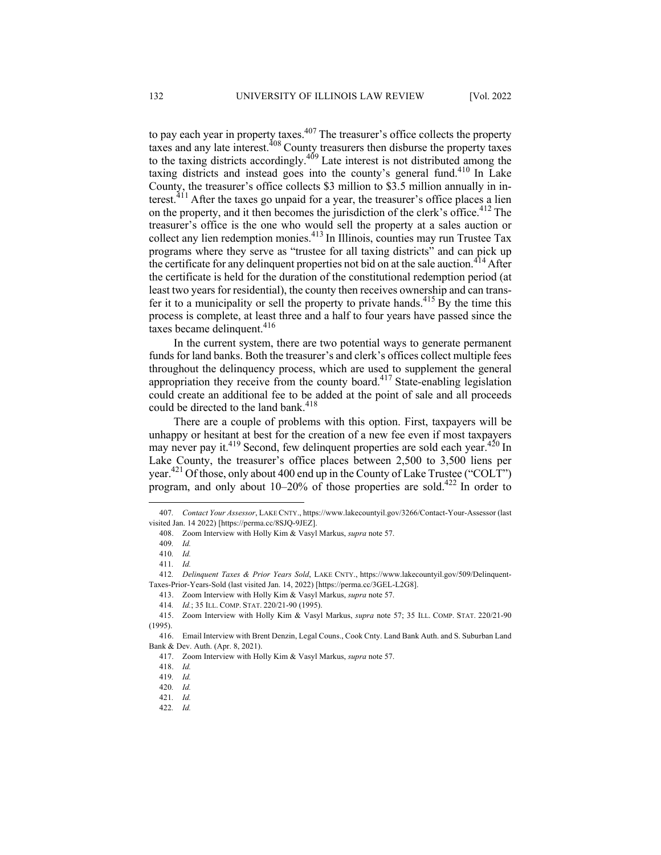to pay each year in property taxes.<sup>407</sup> The treasurer's office collects the property taxes and any late interest.<sup>408</sup> County treasurers then disburse the property taxes to the taxing districts accordingly.<sup>409</sup> Late interest is not distributed among the taxing districts and instead goes into the county's general fund.<sup>410</sup> In Lake County, the treasurer's office collects \$3 million to \$3.5 million annually in interest.<sup>411</sup> After the taxes go unpaid for a year, the treasurer's office places a lien on the property, and it then becomes the jurisdiction of the clerk's office.<sup>412</sup> The treasurer's office is the one who would sell the property at a sales auction or collect any lien redemption monies.<sup>413</sup> In Illinois, counties may run Trustee Tax programs where they serve as "trustee for all taxing districts" and can pick up the certificate for any delinguent properties not bid on at the sale auction.<sup>414</sup> After the certificate is held for the duration of the constitutional redemption period (at least two years for residential), the county then receives ownership and can transfer it to a municipality or sell the property to private hands.<sup>415</sup> By the time this process is complete, at least three and a half to four years have passed since the taxes became delinquent. $416$ 

In the current system, there are two potential ways to generate permanent funds for land banks. Both the treasurer's and clerk's offices collect multiple fees throughout the delinquency process, which are used to supplement the general appropriation they receive from the county board.<sup>417</sup> State-enabling legislation could create an additional fee to be added at the point of sale and all proceeds could be directed to the land bank.<sup>418</sup>

There are a couple of problems with this option. First, taxpayers will be unhappy or hesitant at best for the creation of a new fee even if most taxpayers may never pay it.<sup>419</sup> Second, few delinquent properties are sold each year.<sup>420</sup> In Lake County, the treasurer's office places between 2,500 to 3,500 liens per year.<sup>421</sup> Of those, only about 400 end up in the County of Lake Trustee ("COLT") program, and only about  $10-20\%$  of those properties are sold.<sup>422</sup> In order to

<sup>407</sup>*. Contact Your Assessor*, LAKE CNTY., https://www.lakecountyil.gov/3266/Contact-Your-Assessor (last visited Jan. 14 2022) [https://perma.cc/8SJQ-9JEZ].

<sup>408.</sup> Zoom Interview with Holly Kim & Vasyl Markus, *supra* note 57.

<sup>409</sup>*. Id.*

<sup>410</sup>*. Id.*

<sup>411</sup>*. Id.*

<sup>412</sup>*. Delinquent Taxes & Prior Years Sold*, LAKE CNTY., https://www.lakecountyil.gov/509/Delinquent-Taxes-Prior-Years-Sold (last visited Jan. 14, 2022) [https://perma.cc/3GEL-L2G8].

<sup>413.</sup> Zoom Interview with Holly Kim & Vasyl Markus, *supra* note 57.

<sup>414</sup>*. Id.*; 35 ILL. COMP. STAT. 220/21-90 (1995).

<sup>415.</sup> Zoom Interview with Holly Kim & Vasyl Markus, *supra* note 57; 35 ILL. COMP. STAT. 220/21-90 (1995).

<sup>416.</sup> Email Interview with Brent Denzin, Legal Couns., Cook Cnty. Land Bank Auth. and S. Suburban Land Bank & Dev. Auth. (Apr. 8, 2021).

<sup>417.</sup> Zoom Interview with Holly Kim & Vasyl Markus, *supra* note 57.

<sup>418.</sup> *Id.*

<sup>419</sup>*. Id.*

<sup>420</sup>*. Id.*

<sup>421</sup>*. Id.*

<sup>422</sup>*. Id.*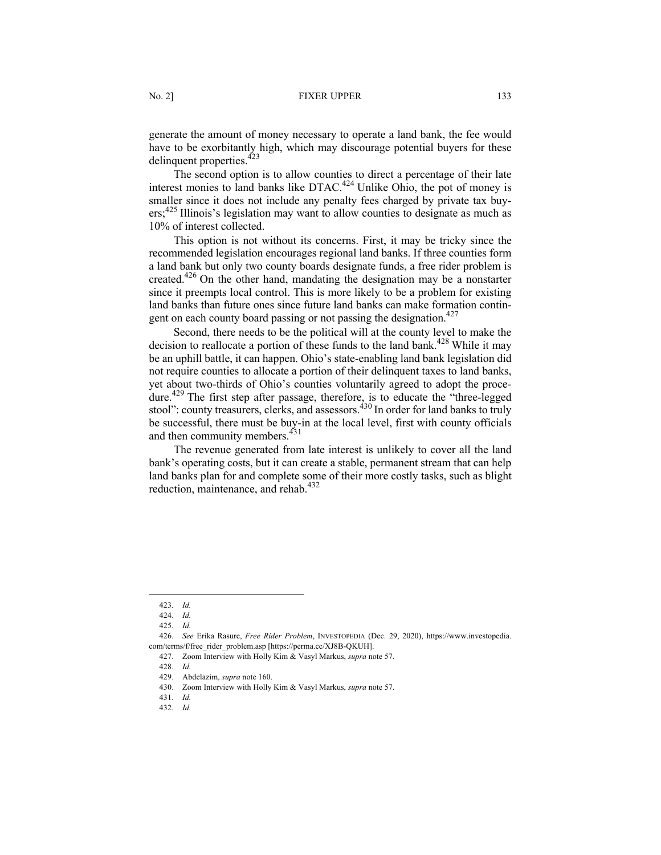generate the amount of money necessary to operate a land bank, the fee would have to be exorbitantly high, which may discourage potential buyers for these delinquent properties.<sup>423</sup>

The second option is to allow counties to direct a percentage of their late interest monies to land banks like  $DTAC.<sup>424</sup>$  Unlike Ohio, the pot of money is smaller since it does not include any penalty fees charged by private tax buyers;<sup>425</sup> Illinois's legislation may want to allow counties to designate as much as 10% of interest collected.

This option is not without its concerns. First, it may be tricky since the recommended legislation encourages regional land banks. If three counties form a land bank but only two county boards designate funds, a free rider problem is created.<sup>426</sup> On the other hand, mandating the designation may be a nonstarter since it preempts local control. This is more likely to be a problem for existing land banks than future ones since future land banks can make formation contingent on each county board passing or not passing the designation.<sup>427</sup>

Second, there needs to be the political will at the county level to make the decision to reallocate a portion of these funds to the land bank.<sup>428</sup> While it may be an uphill battle, it can happen. Ohio's state-enabling land bank legislation did not require counties to allocate a portion of their delinquent taxes to land banks, yet about two-thirds of Ohio's counties voluntarily agreed to adopt the procedure.<sup>429</sup> The first step after passage, therefore, is to educate the "three-legged stool": county treasurers, clerks, and assessors.<sup>430</sup> In order for land banks to truly be successful, there must be buy-in at the local level, first with county officials and then community members.<sup>431</sup>

The revenue generated from late interest is unlikely to cover all the land bank's operating costs, but it can create a stable, permanent stream that can help land banks plan for and complete some of their more costly tasks, such as blight reduction, maintenance, and rehab.<sup>432</sup>

<sup>423</sup>*. Id.*

<sup>424.</sup> *Id.*

<sup>425</sup>*. Id.*

<sup>426.</sup> *See* Erika Rasure, *Free Rider Problem*, INVESTOPEDIA (Dec. 29, 2020), https://www.investopedia. com/terms/f/free\_rider\_problem.asp [https://perma.cc/XJ8B-QKUH].

<sup>427.</sup> Zoom Interview with Holly Kim & Vasyl Markus, *supra* note 57.

<sup>428.</sup> *Id.*

<sup>429.</sup> Abdelazim, *supra* note 160.

<sup>430.</sup> Zoom Interview with Holly Kim & Vasyl Markus, *supra* note 57.

<sup>431.</sup> *Id.*

<sup>432.</sup> *Id.*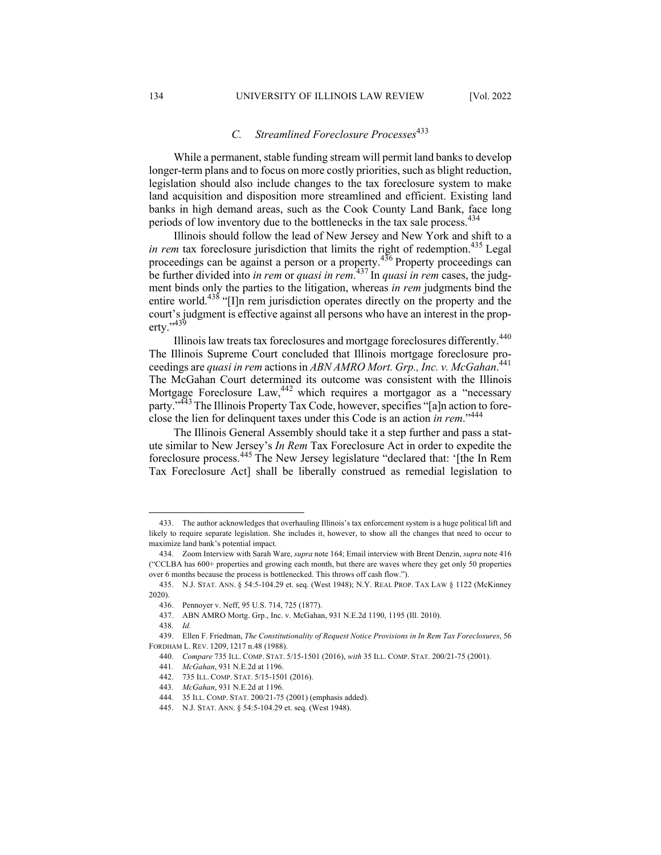# *C. Streamlined Foreclosure Processes*<sup>433</sup>

While a permanent, stable funding stream will permit land banks to develop longer-term plans and to focus on more costly priorities, such as blight reduction, legislation should also include changes to the tax foreclosure system to make land acquisition and disposition more streamlined and efficient. Existing land banks in high demand areas, such as the Cook County Land Bank, face long periods of low inventory due to the bottlenecks in the tax sale process.<sup>434</sup>

Illinois should follow the lead of New Jersey and New York and shift to a *in rem* tax foreclosure jurisdiction that limits the right of redemption.<sup>435</sup> Legal proceedings can be against a person or a property.<sup>436</sup> Property proceedings can be further divided into *in rem* or *quasi in rem*. <sup>437</sup> In *quasi in rem* cases, the judgment binds only the parties to the litigation, whereas *in rem* judgments bind the entire world.<sup>438</sup> "[I]n rem jurisdiction operates directly on the property and the court's judgment is effective against all persons who have an interest in the property.'<sup>,439</sup>

Illinois law treats tax foreclosures and mortgage foreclosures differently.<sup>440</sup> The Illinois Supreme Court concluded that Illinois mortgage foreclosure proceedings are *quasi in rem* actions in *ABN AMRO Mort. Grp., Inc. v. McGahan*. 441 The McGahan Court determined its outcome was consistent with the Illinois Mortgage Foreclosure Law, <sup>442</sup> which requires a mortgagor as a "necessary party."<sup>443</sup> The Illinois Property Tax Code, however, specifies "[a]n action to foreclose the lien for delinquent taxes under this Code is an action *in rem*."<sup>444</sup>

The Illinois General Assembly should take it a step further and pass a statute similar to New Jersey's *In Rem* Tax Foreclosure Act in order to expedite the foreclosure process.<sup>445</sup> The New Jersey legislature "declared that: '[the In Rem Tax Foreclosure Act] shall be liberally construed as remedial legislation to

<sup>433.</sup> The author acknowledges that overhauling Illinois's tax enforcement system is a huge political lift and likely to require separate legislation. She includes it, however, to show all the changes that need to occur to maximize land bank's potential impact.

<sup>434.</sup> Zoom Interview with Sarah Ware, *supra* note 164; Email interview with Brent Denzin, *supra* note 416 ("CCLBA has 600+ properties and growing each month, but there are waves where they get only 50 properties over 6 months because the process is bottlenecked. This throws off cash flow.").

<sup>435.</sup> N.J. STAT. ANN. § 54:5-104.29 et. seq. (West 1948); N.Y. REAL PROP. TAX LAW § 1122 (McKinney 2020).

<sup>436.</sup> Pennoyer v. Neff, 95 U.S. 714, 725 (1877).

<sup>437.</sup> ABN AMRO Mortg. Grp., Inc. v. McGahan, 931 N.E.2d 1190, 1195 (Ill. 2010).

<sup>438</sup>*. Id.*

<sup>439.</sup> Ellen F. Friedman, *The Constitutionality of Request Notice Provisions in In Rem Tax Foreclosures*, 56 FORDHAM L. REV. 1209, 1217 n.48 (1988).

<sup>440.</sup> *Compare* 735 ILL. COMP. STAT. 5/15-1501 (2016), *with* 35 ILL. COMP. STAT. 200/21-75 (2001).

<sup>441</sup>*. McGahan*, 931 N.E.2d at 1196.

<sup>442.</sup> 735 ILL. COMP. STAT. 5/15-1501 (2016).

<sup>443</sup>*. McGahan*, 931 N.E.2d at 1196.

<sup>444.</sup> 35 ILL. COMP. STAT. 200/21-75 (2001) (emphasis added).

<sup>445.</sup> N.J. STAT. ANN. § 54:5-104.29 et. seq. (West 1948).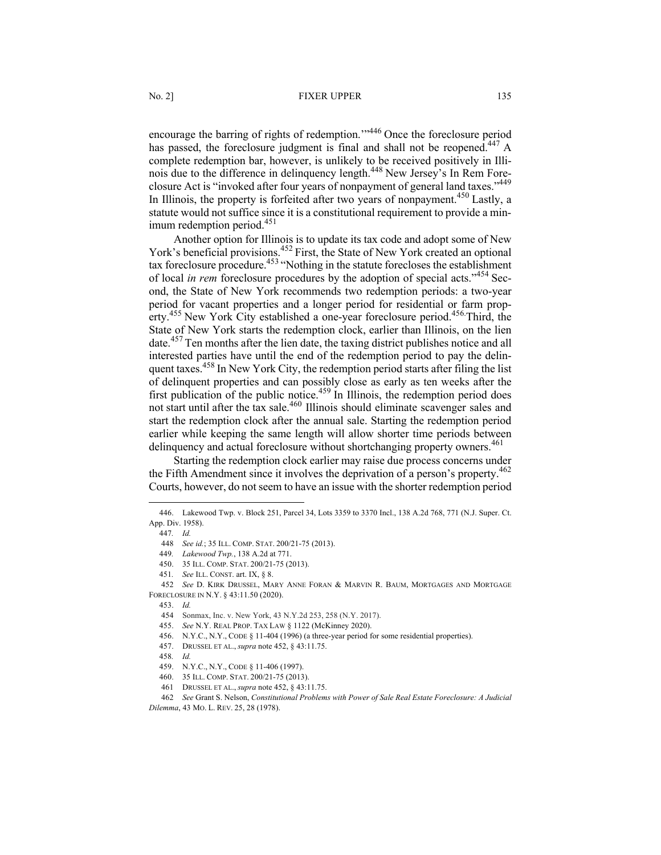encourage the barring of rights of redemption.'"446 Once the foreclosure period has passed, the foreclosure judgment is final and shall not be reopened.<sup>447</sup> A complete redemption bar, however, is unlikely to be received positively in Illinois due to the difference in delinquency length.<sup>448</sup> New Jersey's In Rem Foreclosure Act is "invoked after four years of nonpayment of general land taxes."<sup>449</sup> In Illinois, the property is forfeited after two years of nonpayment.<sup>450</sup> Lastly, a statute would not suffice since it is a constitutional requirement to provide a minimum redemption period. $451$ 

Another option for Illinois is to update its tax code and adopt some of New York's beneficial provisions.<sup>452</sup> First, the State of New York created an optional tax foreclosure procedure.<sup>453</sup> "Nothing in the statute forecloses the establishment of local *in rem* foreclosure procedures by the adoption of special acts."<sup>454</sup> Second, the State of New York recommends two redemption periods: a two-year period for vacant properties and a longer period for residential or farm property.<sup>455</sup> New York City established a one-year foreclosure period.<sup>456</sup> Third, the State of New York starts the redemption clock, earlier than Illinois, on the lien date.<sup>457</sup> Ten months after the lien date, the taxing district publishes notice and all interested parties have until the end of the redemption period to pay the delinquent taxes.<sup>458</sup> In New York City, the redemption period starts after filing the list of delinquent properties and can possibly close as early as ten weeks after the first publication of the public notice.<sup>459</sup> In Illinois, the redemption period does not start until after the tax sale. <sup>460</sup> Illinois should eliminate scavenger sales and start the redemption clock after the annual sale. Starting the redemption period earlier while keeping the same length will allow shorter time periods between delinquency and actual foreclosure without shortchanging property owners.<sup>461</sup>

Starting the redemption clock earlier may raise due process concerns under the Fifth Amendment since it involves the deprivation of a person's property.<sup>462</sup> Courts, however, do not seem to have an issue with the shorter redemption period

<sup>446.</sup> Lakewood Twp. v. Block 251, Parcel 34, Lots 3359 to 3370 Incl., 138 A.2d 768, 771 (N.J. Super. Ct. App. Div. 1958).

<sup>447</sup>*. Id.* 

<sup>448</sup> *See id.*; 35 ILL. COMP. STAT. 200/21-75 (2013).

<sup>449</sup>*. Lakewood Twp.*, 138 A.2d at 771.

<sup>450.</sup> 35 ILL. COMP. STAT. 200/21-75 (2013).

<sup>451</sup>*. See* ILL. CONST. art. IX, § 8.

<sup>452</sup> *See* D. KIRK DRUSSEL, MARY ANNE FORAN & MARVIN R. BAUM, MORTGAGES AND MORTGAGE FORECLOSURE IN N.Y. § 43:11.50 (2020).

<sup>453.</sup> *Id.*

<sup>454</sup> Sonmax, Inc. v. New York, 43 N.Y.2d 253, 258 (N.Y. 2017).

<sup>455.</sup> *See* N.Y. REAL PROP. TAX LAW § 1122 (McKinney 2020).

<sup>456.</sup> N.Y.C., N.Y., CODE § 11-404 (1996) (a three-year period for some residential properties).

<sup>457.</sup> DRUSSEL ET AL., *supra* note 452, § 43:11.75.

<sup>458</sup>*. Id.*

<sup>459.</sup> N.Y.C., N.Y., CODE § 11-406 (1997).

<sup>460.</sup> 35 ILL. COMP. STAT. 200/21-75 (2013).

<sup>461</sup> DRUSSEL ET AL., *supra* note 452, § 43:11.75.

<sup>462</sup> *See* Grant S. Nelson, *Constitutional Problems with Power of Sale Real Estate Foreclosure: A Judicial Dilemma*, 43 MO. L. REV. 25, 28 (1978).